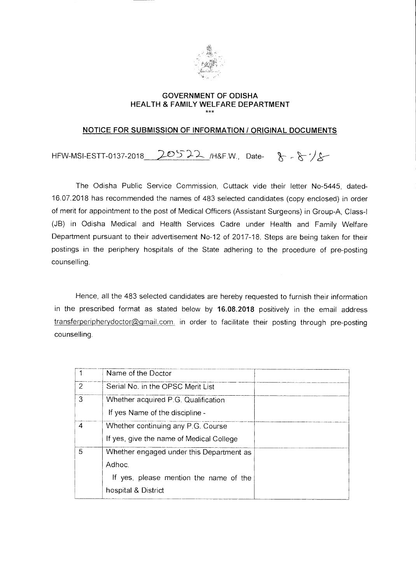

#### **GOVERNMENT OF ODISHA HEALTH & FAMILY WELFARE DEPARTMENT**  \*\*\*

#### **NOTICE FOR SUBMISSION OF INFORMATION / ORIGINAL DOCUMENTS**

HFW-MSI-ESTT-0137-2018 20522 /H&F.W., Date-  $8 - 8$ 

The Odisha Public Service Commission, Cuttack vide their letter No-5445, dated-16.07.2018 has recommended the names of 483 selected candidates (copy enclosed) in order of merit for appointment to the post of Medical Officers (Assistant Surgeons) in Group-A, Class-I (JB) in Odisha Medical and Health Services Cadre under Health and Family Welfare Department pursuant to their advertisement No-12 of 2017-18. Steps are being taken for their postings in the periphery hospitals of the State adhering to the procedure of pre-posting counselling.

Hence, all the 483 selected candidates are hereby requested to furnish their information in the prescribed format as stated below by 16.08.2018 positively in the email address transferperipherydoctor@gmail.com. in order to facilitate their posting through pre-posting counselling.

|                | Name of the Doctor                       |  |
|----------------|------------------------------------------|--|
| $\overline{2}$ | Serial No. in the OPSC Merit List        |  |
| 3              | Whether acquired P.G. Qualification      |  |
|                | If yes Name of the discipline -          |  |
| 4              | Whether continuing any P.G. Course       |  |
|                | If yes, give the name of Medical College |  |
| 5              | Whether engaged under this Department as |  |
|                | Adhoc.                                   |  |
|                | If yes, please mention the name of the   |  |
|                | hospital & District                      |  |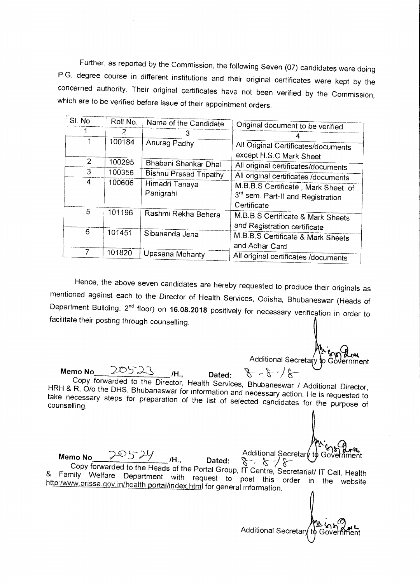Further, as reported by the Commission, the following Seven (07) candidates were doing P.G. degree course in different institutions and their original certificates were kept by the concerned authority. Their original certificates have not been verified by the Commission, which are to be verified before issue of their appointment orders.

| SI. No | Roll No. | Name of the Candidate         | Original document to be verified                                                       |
|--------|----------|-------------------------------|----------------------------------------------------------------------------------------|
|        | 2        | 3                             |                                                                                        |
| 1      | 100184   | Anurag Padhy                  | All Original Certificates/documents                                                    |
| 2      | 100295   | Bhabani Shankar Dhal          | except H.S.C Mark Sheet<br>All original certificates/documents                         |
| 3      | 100356   | <b>Bishnu Prasad Tripathy</b> | All original certificates /documents                                                   |
| 4      | 100606   | Himadri Tanaya<br>Panigrahi   | M.B.B.S Certificate, Mark Sheet of<br>3rd sem. Part-II and Registration<br>Certificate |
| 5      | 101196   | Rashmi Rekha Behera           | M.B.B.S Certificate & Mark Sheets<br>and Registration certificate                      |
| 6      | 101451   | Sibananda Jena                | M.B.B.S Certificate & Mark Sheets<br>and Adhar Card                                    |
|        | 101820   | Upasana Mohanty               | All original certificates /documents                                                   |

Hence, the above seven candidates are hereby requested to produce their originals as mentioned against each to the Director of Health Services, Odisha, Bhubaneswar (Heads of Department Building, 2nd floor) on **16.08.2018** positively for necessary verification in order to facilitate their posting through counselling.

Additional Secretary to Government

l<br>Im

Additional Secretary to Govern

 $8 - 8 - 8$  $Memo No$   $2050 s$   $10$ , Dated: Copy forwarded to the Director, Health Services, Bhubaneswar / Additional Director, HRH & R, O/o the DHS, Bhubaneswar for information and necessary action. He is requested to take necessary steps for preparation of the list of selected candidates for the purpose of counselling.

Memo No 20524<br>Copy forwarded to the Heads of the Dated: 8 - 8 / 8 **/H., Dated: %-----**  Copy forwarded to the Heads of the Portal Group, IT Centre, Secretariat/ IT Cell, Health & Family Welfare Department with request to post this order in the website http:/www.orissa.gov.in/health portal/index.html for general information.  $\int$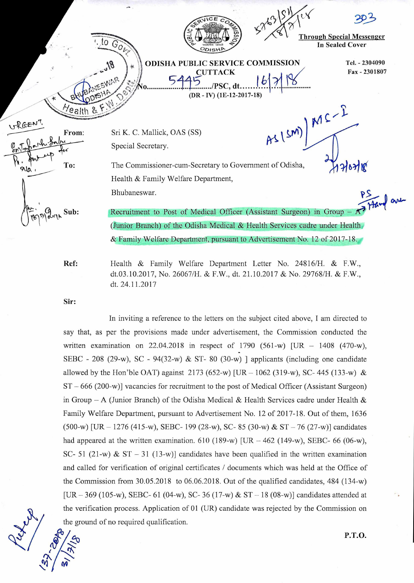

(Junior Branch) of the Odisha Medical & Health Services cadre under Health & Family Welfare Department, pursuant to Advertisement No. 12 of 2017-18.

Ref:

Health & Family Welfare Department Letter No. 24816/H. & F.W., dt.03.10.2017, No. 26067/H. & F.W., dt. 21.10.2017 & No. 29768/H. & F.W., dt. 24.11.2017

Sir:

In inviting a reference to the letters on the subject cited above, I am directed to say that, as per the provisions made under advertisement, the Commission conducted the written examination on 22.04.2018 in respect of 1790 (561-w)  $[UR - 1408 (470-w)]$ SEBC - 208 (29-w), SC - 94(32-w) & ST-80 (30-w) ] applicants (including one candidate allowed by the Hon'ble OAT) against 2173 (652-w) [UR  $-$  1062 (319-w), SC- 445 (133-w) & ST — 666 (200-w)] vacancies for recruitment to the post of Medical Officer (Assistant Surgeon) in Group – A (Junior Branch) of the Odisha Medical & Health Services cadre under Health & Family Welfare Department, pursuant to Advertisement No. 12 of 2017-18. Out of them, 1636  $(500-w)$  [UR – 1276 (415-w), SEBC- 199 (28-w), SC- 85 (30-w) & ST – 76 (27-w)] candidates had appeared at the written examination. 610 (189-w) [UR  $-462$  (149-w), SEBC- 66 (06-w), SC- 51 (21-w) & ST – 31 (13-w)] candidates have been qualified in the written examination and called for verification of original certificates / documents which was held at the Office of the Commission from 30.05.2018 to 06.06.2018. Out of the qualified candidates, 484 (134-w)  $[UR - 369 (105-w), SEBC-61 (04-w), SC-36 (17-w) & ST-18 (08-w)]$  candidates attended at the verification process. Application of 01 (UR) candidate was rejected by the Commission on the ground of no required qualification.

*4:1* P.T.O.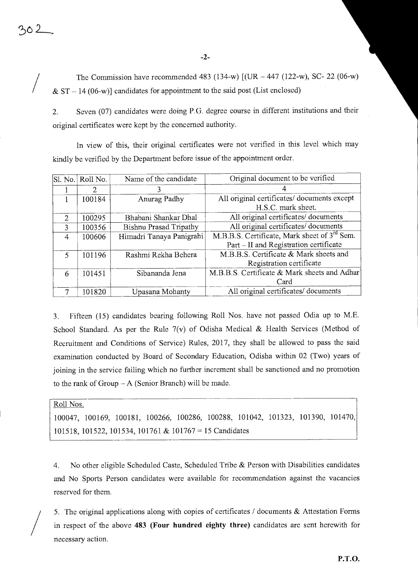The Commission have recommended 483 (134-w) [(UR — 447 (122-w), SC- 22 (06-w)  $& S<sub>T</sub> - 14 (06-w)$ ] candidates for appointment to the said post (List enclosed)

2. Seven (07) candidates were doing P.G. degree course in different institutions and their original certificates were kept by the concerned authority.

In view of this, their original certificates were not verified in this level which may kindly be verified by the Department before issue of the appointment order.

|                | Sl. No. Roll No. | Name of the candidate         | Original document to be verified                         |
|----------------|------------------|-------------------------------|----------------------------------------------------------|
|                | 2                |                               |                                                          |
|                | 100184           | Anurag Padhy                  | All original certificates/ documents except              |
|                |                  |                               | H.S.C. mark sheet.                                       |
| $\mathfrak{D}$ | 100295           | Bhabani Shankar Dhal          | All original certificates/documents                      |
| 3              | 100356           | <b>Bishnu Prasad Tripathy</b> | All original certificates/documents                      |
| 4              | 100606           | Himadri Tanaya Panigrahi      | M.B.B.S. Certificate, Mark sheet of 3 <sup>rd</sup> Sem. |
|                |                  |                               | Part - II and Registration certificate                   |
| $\varsigma$    | 101196           | Rashmi Rekha Behera           | M.B.B.S. Certificate & Mark sheets and                   |
|                |                  |                               | Registration certificate                                 |
| 6              | 101451           | Sibananda Jena                | M.B.B.S. Certificate & Mark sheets and Adhar             |
|                |                  |                               | Card                                                     |
| 7              | 101820           | Upasana Mohanty               | All original certificates/documents                      |

3. Fifteen (15) candidates bearing following Roll Nos. have not passed Odia up to M.E. School Standard. As per the Rule 7(v) of Odisha Medical & Health Services (Method of Recruitment and Conditions of Service) Rules, 2017, they shall be allowed to pass the said examination conducted by Board of Secondary Education, Odisha within 02 (Two) years of joining in the service failing which no further increment shall be sanctioned and no promotion to the rank of  $Group - A$  (Senior Branch) will be made.

#### Roll Nos.

100047, 100169, 100181, 100266, 100286, 100288, 101042, 101323, 101390, 101470, 101518, 101522, 101534, 101761 & 101767 = 15 Candidates

4. No other eligible Scheduled Caste, Scheduled Tribe & Person with Disabilities candidates and No Sports Person candidates were available for recommendation against the vacancies reserved for them.

5. The original applications along with copies of certificates / documents & Attestation Forms in respect of the above 483 (Four hundred eighty three) candidates are sent herewith for necessary action.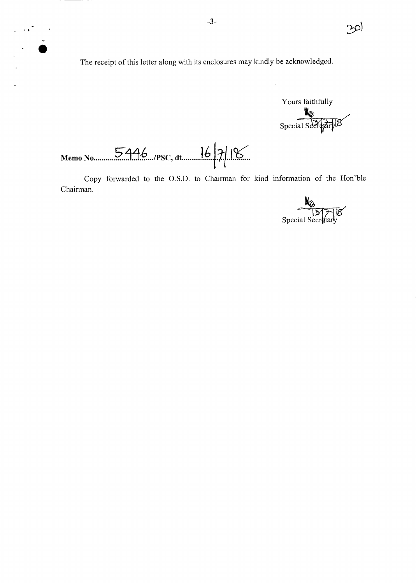The receipt of this letter along with its enclosures may kindly be acknowledged.



 $\infty$ 

Memo No 5446 /PSC, dt  $16718$ 

 $\overline{1}$ 

Copy forwarded to the O.S.D. to Chairman for kind information of the Hon'ble Chairman.

 $\frac{12}{3}$  Special Secretary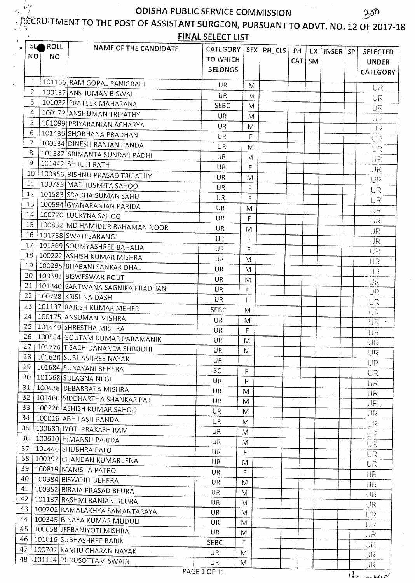$\mathbb{F}_f^{\prime}$ 

## LE RUITMENT TO THE POST OF ASSISTANT SURGEON, PURSUANT TO ADVT. NO. 12 OF 2017-18

FINAL SELECT LIST

| 1<br>101166 RAM GOPAL PANIGRAHI<br>UR.<br>M<br>2<br>100167 ANSHUMAN BISWAL<br><b>UR</b><br>M<br>3<br>101032 PRATEEK MAHARANA<br><b>SEBC</b><br>M<br>4<br>100172 ANSHUMAN TRIPATHY<br><b>UR</b><br>M<br>5<br>101099 PRIYARANJAN ACHARYA<br>UR<br>M<br>6<br>101436 SHOBHANA PRADHAN<br>UR<br>F<br>7<br>100534 DINESH RANJAN PANDA<br>UR<br>M<br>8<br>101587 SRIMANTA SUNDAR PADHI<br>UR.<br>M<br>9<br>101442 SHRUTI RATH<br><b>UR</b><br>F<br>$10^{\circ}$<br>100356 BISHNU PRASAD TRIPATHY<br>UR<br>M<br>11<br>100785   MADHUSMITA SAHOO<br><b>UR</b><br>$\mathsf{F}$<br>12<br>101583 SRADHA SUMAN SAHU<br>UR<br>F<br>13 <sup>1</sup><br>100594 GYANARANJAN PARIDA<br><b>UR</b><br>M<br>14 <sub>1</sub><br>100770 LUCKYNA SAHOO<br>UR.<br>F<br>15   100832   MD HAMIDUR RAHAMAN NOOR<br>UR.<br>M<br>16   101758 SWATI SARANGI<br>UR.<br>F<br>17   101569 SOUMYASHREE BAHALIA<br>UR<br>F<br>18   100222   ASHISH KUMAR MISHRA<br>UR.<br>M<br>19   100295   BHABANI SANKAR DHAL<br>UR<br>M<br>20 l<br>100383 BISWESWAR ROUT<br>UR.<br>M<br>21<br>101340 SANTWANA SAGNIKA PRADHAN<br>UR.<br>F<br>22<br>100728 KRISHNA DASH<br>UR.<br>F<br>23<br>101137 RAJESH KUMAR MEHER<br>SEBC<br>M<br>24<br>100175 ANSUMAN MISHRA<br><b>UR</b><br>M<br>$25 -$<br>101440 SHRESTHA MISHRA<br><b>UR</b><br>$\mathsf{F}$<br>26 <br>100584 GOUTAM KUMAR PARAMANIK<br>UR<br>M<br>27   101776   T SACHIDANANDA SUBUDHI<br>UR<br>M<br>28   101620 SUBHASHREE NAYAK<br>UR<br>F<br>29<br>101684 SUNAYANI BEHERA<br><b>SC</b><br>F<br>30<br>101668 SULAGNA NEGI<br><b>UR</b><br>F<br>31<br>100438 DEBABRATA MISHRA<br>UR<br>M<br>32<br>101466 SIDDHARTHA SHANKAR PATI<br>UR<br>M<br>33<br>100226 ASHISH KUMAR SAHOO<br>UR<br>M<br>34<br>100016 ABHILASH PANDA<br>UR<br>M<br>35<br>100680 JYOTI PRAKASH RAM<br>UR.<br>M<br>36<br>100610 HIMANSU PARIDA<br>UR.<br>M<br>37<br>101446 SHUBHRA PALO<br><b>UR</b><br>F<br>38<br>100392 CHANDAN KUMAR JENA<br>UR<br>M<br>39<br>100819 MANISHA PATRO<br>UR.<br>F.<br>40<br>100384 BISWOJIT BEHERA<br>UR<br>M<br>41<br>100352 BIRAJA PRASAD BEURA<br>UR<br>M<br>42<br>101187 RASHMI RANJAN BEURA<br><b>UR</b><br>M<br>43<br>100702 KAMALAKHYA SAMANTARAYA .<br>UR<br>M<br>44<br>100345 BINAYA KUMAR MUDULI<br>UR<br>M<br>45   100658   JEEBANJYOTI MISHRA<br><b>UR</b><br>M<br>46   101616 SUBHASHREE BARIK<br><b>SEBC</b><br>F<br>47  <br>100707 KANHU CHARAN NAYAK<br><b>UR</b><br>M | SL.<br>NO. | ROLL<br>NO. | NAME OF THE CANDIDATE          | CATEGORY   SEX   PH_CLS  <br>TO WHICH<br><b>BELONGS</b> |  | PH<br>CAT | EX  <br>SM | INSER SP | <b>SELECTED</b><br><b>UNDER</b><br><b>CATEGORY</b> |
|----------------------------------------------------------------------------------------------------------------------------------------------------------------------------------------------------------------------------------------------------------------------------------------------------------------------------------------------------------------------------------------------------------------------------------------------------------------------------------------------------------------------------------------------------------------------------------------------------------------------------------------------------------------------------------------------------------------------------------------------------------------------------------------------------------------------------------------------------------------------------------------------------------------------------------------------------------------------------------------------------------------------------------------------------------------------------------------------------------------------------------------------------------------------------------------------------------------------------------------------------------------------------------------------------------------------------------------------------------------------------------------------------------------------------------------------------------------------------------------------------------------------------------------------------------------------------------------------------------------------------------------------------------------------------------------------------------------------------------------------------------------------------------------------------------------------------------------------------------------------------------------------------------------------------------------------------------------------------------------------------------------------------------------------------------------------------------------------------------------------------------------------------------------------------------------------------------------------------------------------------------------------------------------------------------------------------------------------------------------------------------------------------|------------|-------------|--------------------------------|---------------------------------------------------------|--|-----------|------------|----------|----------------------------------------------------|
|                                                                                                                                                                                                                                                                                                                                                                                                                                                                                                                                                                                                                                                                                                                                                                                                                                                                                                                                                                                                                                                                                                                                                                                                                                                                                                                                                                                                                                                                                                                                                                                                                                                                                                                                                                                                                                                                                                                                                                                                                                                                                                                                                                                                                                                                                                                                                                                                    |            |             |                                |                                                         |  |           |            |          | <b>UR</b>                                          |
|                                                                                                                                                                                                                                                                                                                                                                                                                                                                                                                                                                                                                                                                                                                                                                                                                                                                                                                                                                                                                                                                                                                                                                                                                                                                                                                                                                                                                                                                                                                                                                                                                                                                                                                                                                                                                                                                                                                                                                                                                                                                                                                                                                                                                                                                                                                                                                                                    |            |             |                                |                                                         |  |           |            |          | <b>UR</b>                                          |
|                                                                                                                                                                                                                                                                                                                                                                                                                                                                                                                                                                                                                                                                                                                                                                                                                                                                                                                                                                                                                                                                                                                                                                                                                                                                                                                                                                                                                                                                                                                                                                                                                                                                                                                                                                                                                                                                                                                                                                                                                                                                                                                                                                                                                                                                                                                                                                                                    |            |             |                                |                                                         |  |           |            |          | UR                                                 |
|                                                                                                                                                                                                                                                                                                                                                                                                                                                                                                                                                                                                                                                                                                                                                                                                                                                                                                                                                                                                                                                                                                                                                                                                                                                                                                                                                                                                                                                                                                                                                                                                                                                                                                                                                                                                                                                                                                                                                                                                                                                                                                                                                                                                                                                                                                                                                                                                    |            |             |                                |                                                         |  |           |            |          | UR.                                                |
|                                                                                                                                                                                                                                                                                                                                                                                                                                                                                                                                                                                                                                                                                                                                                                                                                                                                                                                                                                                                                                                                                                                                                                                                                                                                                                                                                                                                                                                                                                                                                                                                                                                                                                                                                                                                                                                                                                                                                                                                                                                                                                                                                                                                                                                                                                                                                                                                    |            |             |                                |                                                         |  |           |            |          | UR                                                 |
|                                                                                                                                                                                                                                                                                                                                                                                                                                                                                                                                                                                                                                                                                                                                                                                                                                                                                                                                                                                                                                                                                                                                                                                                                                                                                                                                                                                                                                                                                                                                                                                                                                                                                                                                                                                                                                                                                                                                                                                                                                                                                                                                                                                                                                                                                                                                                                                                    |            |             |                                |                                                         |  |           |            |          | UR                                                 |
|                                                                                                                                                                                                                                                                                                                                                                                                                                                                                                                                                                                                                                                                                                                                                                                                                                                                                                                                                                                                                                                                                                                                                                                                                                                                                                                                                                                                                                                                                                                                                                                                                                                                                                                                                                                                                                                                                                                                                                                                                                                                                                                                                                                                                                                                                                                                                                                                    |            |             |                                |                                                         |  |           |            |          | UR.                                                |
|                                                                                                                                                                                                                                                                                                                                                                                                                                                                                                                                                                                                                                                                                                                                                                                                                                                                                                                                                                                                                                                                                                                                                                                                                                                                                                                                                                                                                                                                                                                                                                                                                                                                                                                                                                                                                                                                                                                                                                                                                                                                                                                                                                                                                                                                                                                                                                                                    |            |             |                                |                                                         |  |           |            |          |                                                    |
|                                                                                                                                                                                                                                                                                                                                                                                                                                                                                                                                                                                                                                                                                                                                                                                                                                                                                                                                                                                                                                                                                                                                                                                                                                                                                                                                                                                                                                                                                                                                                                                                                                                                                                                                                                                                                                                                                                                                                                                                                                                                                                                                                                                                                                                                                                                                                                                                    |            |             |                                |                                                         |  |           |            |          | IJR                                                |
|                                                                                                                                                                                                                                                                                                                                                                                                                                                                                                                                                                                                                                                                                                                                                                                                                                                                                                                                                                                                                                                                                                                                                                                                                                                                                                                                                                                                                                                                                                                                                                                                                                                                                                                                                                                                                                                                                                                                                                                                                                                                                                                                                                                                                                                                                                                                                                                                    |            |             |                                |                                                         |  |           |            |          | UR                                                 |
|                                                                                                                                                                                                                                                                                                                                                                                                                                                                                                                                                                                                                                                                                                                                                                                                                                                                                                                                                                                                                                                                                                                                                                                                                                                                                                                                                                                                                                                                                                                                                                                                                                                                                                                                                                                                                                                                                                                                                                                                                                                                                                                                                                                                                                                                                                                                                                                                    |            |             |                                |                                                         |  |           |            |          | <b>UR</b>                                          |
|                                                                                                                                                                                                                                                                                                                                                                                                                                                                                                                                                                                                                                                                                                                                                                                                                                                                                                                                                                                                                                                                                                                                                                                                                                                                                                                                                                                                                                                                                                                                                                                                                                                                                                                                                                                                                                                                                                                                                                                                                                                                                                                                                                                                                                                                                                                                                                                                    |            |             |                                |                                                         |  |           |            |          | <b>UR</b>                                          |
|                                                                                                                                                                                                                                                                                                                                                                                                                                                                                                                                                                                                                                                                                                                                                                                                                                                                                                                                                                                                                                                                                                                                                                                                                                                                                                                                                                                                                                                                                                                                                                                                                                                                                                                                                                                                                                                                                                                                                                                                                                                                                                                                                                                                                                                                                                                                                                                                    |            |             |                                |                                                         |  |           |            |          | UR                                                 |
|                                                                                                                                                                                                                                                                                                                                                                                                                                                                                                                                                                                                                                                                                                                                                                                                                                                                                                                                                                                                                                                                                                                                                                                                                                                                                                                                                                                                                                                                                                                                                                                                                                                                                                                                                                                                                                                                                                                                                                                                                                                                                                                                                                                                                                                                                                                                                                                                    |            |             |                                |                                                         |  |           |            |          | <b>UR</b>                                          |
|                                                                                                                                                                                                                                                                                                                                                                                                                                                                                                                                                                                                                                                                                                                                                                                                                                                                                                                                                                                                                                                                                                                                                                                                                                                                                                                                                                                                                                                                                                                                                                                                                                                                                                                                                                                                                                                                                                                                                                                                                                                                                                                                                                                                                                                                                                                                                                                                    |            |             |                                |                                                         |  |           |            |          | <b>UR</b>                                          |
|                                                                                                                                                                                                                                                                                                                                                                                                                                                                                                                                                                                                                                                                                                                                                                                                                                                                                                                                                                                                                                                                                                                                                                                                                                                                                                                                                                                                                                                                                                                                                                                                                                                                                                                                                                                                                                                                                                                                                                                                                                                                                                                                                                                                                                                                                                                                                                                                    |            |             |                                |                                                         |  |           |            |          | UR                                                 |
|                                                                                                                                                                                                                                                                                                                                                                                                                                                                                                                                                                                                                                                                                                                                                                                                                                                                                                                                                                                                                                                                                                                                                                                                                                                                                                                                                                                                                                                                                                                                                                                                                                                                                                                                                                                                                                                                                                                                                                                                                                                                                                                                                                                                                                                                                                                                                                                                    |            |             |                                |                                                         |  |           |            |          | UR                                                 |
|                                                                                                                                                                                                                                                                                                                                                                                                                                                                                                                                                                                                                                                                                                                                                                                                                                                                                                                                                                                                                                                                                                                                                                                                                                                                                                                                                                                                                                                                                                                                                                                                                                                                                                                                                                                                                                                                                                                                                                                                                                                                                                                                                                                                                                                                                                                                                                                                    |            |             |                                |                                                         |  |           |            |          | UR                                                 |
|                                                                                                                                                                                                                                                                                                                                                                                                                                                                                                                                                                                                                                                                                                                                                                                                                                                                                                                                                                                                                                                                                                                                                                                                                                                                                                                                                                                                                                                                                                                                                                                                                                                                                                                                                                                                                                                                                                                                                                                                                                                                                                                                                                                                                                                                                                                                                                                                    |            |             |                                |                                                         |  |           |            |          | UR                                                 |
|                                                                                                                                                                                                                                                                                                                                                                                                                                                                                                                                                                                                                                                                                                                                                                                                                                                                                                                                                                                                                                                                                                                                                                                                                                                                                                                                                                                                                                                                                                                                                                                                                                                                                                                                                                                                                                                                                                                                                                                                                                                                                                                                                                                                                                                                                                                                                                                                    |            |             |                                |                                                         |  |           |            |          | UR.                                                |
|                                                                                                                                                                                                                                                                                                                                                                                                                                                                                                                                                                                                                                                                                                                                                                                                                                                                                                                                                                                                                                                                                                                                                                                                                                                                                                                                                                                                                                                                                                                                                                                                                                                                                                                                                                                                                                                                                                                                                                                                                                                                                                                                                                                                                                                                                                                                                                                                    |            |             |                                |                                                         |  |           |            |          | UR                                                 |
|                                                                                                                                                                                                                                                                                                                                                                                                                                                                                                                                                                                                                                                                                                                                                                                                                                                                                                                                                                                                                                                                                                                                                                                                                                                                                                                                                                                                                                                                                                                                                                                                                                                                                                                                                                                                                                                                                                                                                                                                                                                                                                                                                                                                                                                                                                                                                                                                    |            |             |                                |                                                         |  |           |            |          | UR                                                 |
|                                                                                                                                                                                                                                                                                                                                                                                                                                                                                                                                                                                                                                                                                                                                                                                                                                                                                                                                                                                                                                                                                                                                                                                                                                                                                                                                                                                                                                                                                                                                                                                                                                                                                                                                                                                                                                                                                                                                                                                                                                                                                                                                                                                                                                                                                                                                                                                                    |            |             |                                |                                                         |  |           |            |          | <b>UR</b>                                          |
|                                                                                                                                                                                                                                                                                                                                                                                                                                                                                                                                                                                                                                                                                                                                                                                                                                                                                                                                                                                                                                                                                                                                                                                                                                                                                                                                                                                                                                                                                                                                                                                                                                                                                                                                                                                                                                                                                                                                                                                                                                                                                                                                                                                                                                                                                                                                                                                                    |            |             |                                |                                                         |  |           |            |          | UR                                                 |
|                                                                                                                                                                                                                                                                                                                                                                                                                                                                                                                                                                                                                                                                                                                                                                                                                                                                                                                                                                                                                                                                                                                                                                                                                                                                                                                                                                                                                                                                                                                                                                                                                                                                                                                                                                                                                                                                                                                                                                                                                                                                                                                                                                                                                                                                                                                                                                                                    |            |             |                                |                                                         |  |           |            |          | UR                                                 |
|                                                                                                                                                                                                                                                                                                                                                                                                                                                                                                                                                                                                                                                                                                                                                                                                                                                                                                                                                                                                                                                                                                                                                                                                                                                                                                                                                                                                                                                                                                                                                                                                                                                                                                                                                                                                                                                                                                                                                                                                                                                                                                                                                                                                                                                                                                                                                                                                    |            |             |                                |                                                         |  |           |            |          | UR                                                 |
|                                                                                                                                                                                                                                                                                                                                                                                                                                                                                                                                                                                                                                                                                                                                                                                                                                                                                                                                                                                                                                                                                                                                                                                                                                                                                                                                                                                                                                                                                                                                                                                                                                                                                                                                                                                                                                                                                                                                                                                                                                                                                                                                                                                                                                                                                                                                                                                                    |            |             |                                |                                                         |  |           |            |          | UR                                                 |
|                                                                                                                                                                                                                                                                                                                                                                                                                                                                                                                                                                                                                                                                                                                                                                                                                                                                                                                                                                                                                                                                                                                                                                                                                                                                                                                                                                                                                                                                                                                                                                                                                                                                                                                                                                                                                                                                                                                                                                                                                                                                                                                                                                                                                                                                                                                                                                                                    |            |             |                                |                                                         |  |           |            |          | UR                                                 |
|                                                                                                                                                                                                                                                                                                                                                                                                                                                                                                                                                                                                                                                                                                                                                                                                                                                                                                                                                                                                                                                                                                                                                                                                                                                                                                                                                                                                                                                                                                                                                                                                                                                                                                                                                                                                                                                                                                                                                                                                                                                                                                                                                                                                                                                                                                                                                                                                    |            |             |                                |                                                         |  |           |            |          | UR.                                                |
|                                                                                                                                                                                                                                                                                                                                                                                                                                                                                                                                                                                                                                                                                                                                                                                                                                                                                                                                                                                                                                                                                                                                                                                                                                                                                                                                                                                                                                                                                                                                                                                                                                                                                                                                                                                                                                                                                                                                                                                                                                                                                                                                                                                                                                                                                                                                                                                                    |            |             |                                |                                                         |  |           |            |          | <b>UR</b>                                          |
|                                                                                                                                                                                                                                                                                                                                                                                                                                                                                                                                                                                                                                                                                                                                                                                                                                                                                                                                                                                                                                                                                                                                                                                                                                                                                                                                                                                                                                                                                                                                                                                                                                                                                                                                                                                                                                                                                                                                                                                                                                                                                                                                                                                                                                                                                                                                                                                                    |            |             |                                |                                                         |  |           |            |          | UR                                                 |
|                                                                                                                                                                                                                                                                                                                                                                                                                                                                                                                                                                                                                                                                                                                                                                                                                                                                                                                                                                                                                                                                                                                                                                                                                                                                                                                                                                                                                                                                                                                                                                                                                                                                                                                                                                                                                                                                                                                                                                                                                                                                                                                                                                                                                                                                                                                                                                                                    |            |             |                                |                                                         |  |           |            |          | <b>UR</b>                                          |
|                                                                                                                                                                                                                                                                                                                                                                                                                                                                                                                                                                                                                                                                                                                                                                                                                                                                                                                                                                                                                                                                                                                                                                                                                                                                                                                                                                                                                                                                                                                                                                                                                                                                                                                                                                                                                                                                                                                                                                                                                                                                                                                                                                                                                                                                                                                                                                                                    |            |             |                                |                                                         |  |           |            |          | UR.                                                |
|                                                                                                                                                                                                                                                                                                                                                                                                                                                                                                                                                                                                                                                                                                                                                                                                                                                                                                                                                                                                                                                                                                                                                                                                                                                                                                                                                                                                                                                                                                                                                                                                                                                                                                                                                                                                                                                                                                                                                                                                                                                                                                                                                                                                                                                                                                                                                                                                    |            |             |                                |                                                         |  |           |            |          | UR                                                 |
|                                                                                                                                                                                                                                                                                                                                                                                                                                                                                                                                                                                                                                                                                                                                                                                                                                                                                                                                                                                                                                                                                                                                                                                                                                                                                                                                                                                                                                                                                                                                                                                                                                                                                                                                                                                                                                                                                                                                                                                                                                                                                                                                                                                                                                                                                                                                                                                                    |            |             |                                |                                                         |  |           |            |          | iJR.                                               |
|                                                                                                                                                                                                                                                                                                                                                                                                                                                                                                                                                                                                                                                                                                                                                                                                                                                                                                                                                                                                                                                                                                                                                                                                                                                                                                                                                                                                                                                                                                                                                                                                                                                                                                                                                                                                                                                                                                                                                                                                                                                                                                                                                                                                                                                                                                                                                                                                    |            |             |                                |                                                         |  |           |            |          | . તું રે                                           |
|                                                                                                                                                                                                                                                                                                                                                                                                                                                                                                                                                                                                                                                                                                                                                                                                                                                                                                                                                                                                                                                                                                                                                                                                                                                                                                                                                                                                                                                                                                                                                                                                                                                                                                                                                                                                                                                                                                                                                                                                                                                                                                                                                                                                                                                                                                                                                                                                    |            |             |                                |                                                         |  |           |            |          | UR                                                 |
|                                                                                                                                                                                                                                                                                                                                                                                                                                                                                                                                                                                                                                                                                                                                                                                                                                                                                                                                                                                                                                                                                                                                                                                                                                                                                                                                                                                                                                                                                                                                                                                                                                                                                                                                                                                                                                                                                                                                                                                                                                                                                                                                                                                                                                                                                                                                                                                                    |            |             |                                |                                                         |  |           |            |          | UR.                                                |
|                                                                                                                                                                                                                                                                                                                                                                                                                                                                                                                                                                                                                                                                                                                                                                                                                                                                                                                                                                                                                                                                                                                                                                                                                                                                                                                                                                                                                                                                                                                                                                                                                                                                                                                                                                                                                                                                                                                                                                                                                                                                                                                                                                                                                                                                                                                                                                                                    |            |             |                                |                                                         |  |           |            |          | UR                                                 |
|                                                                                                                                                                                                                                                                                                                                                                                                                                                                                                                                                                                                                                                                                                                                                                                                                                                                                                                                                                                                                                                                                                                                                                                                                                                                                                                                                                                                                                                                                                                                                                                                                                                                                                                                                                                                                                                                                                                                                                                                                                                                                                                                                                                                                                                                                                                                                                                                    |            |             |                                |                                                         |  |           |            |          | <b>UR</b>                                          |
|                                                                                                                                                                                                                                                                                                                                                                                                                                                                                                                                                                                                                                                                                                                                                                                                                                                                                                                                                                                                                                                                                                                                                                                                                                                                                                                                                                                                                                                                                                                                                                                                                                                                                                                                                                                                                                                                                                                                                                                                                                                                                                                                                                                                                                                                                                                                                                                                    |            |             |                                |                                                         |  |           |            |          | UR                                                 |
|                                                                                                                                                                                                                                                                                                                                                                                                                                                                                                                                                                                                                                                                                                                                                                                                                                                                                                                                                                                                                                                                                                                                                                                                                                                                                                                                                                                                                                                                                                                                                                                                                                                                                                                                                                                                                                                                                                                                                                                                                                                                                                                                                                                                                                                                                                                                                                                                    |            |             |                                |                                                         |  |           |            |          | UR.                                                |
|                                                                                                                                                                                                                                                                                                                                                                                                                                                                                                                                                                                                                                                                                                                                                                                                                                                                                                                                                                                                                                                                                                                                                                                                                                                                                                                                                                                                                                                                                                                                                                                                                                                                                                                                                                                                                                                                                                                                                                                                                                                                                                                                                                                                                                                                                                                                                                                                    |            |             |                                |                                                         |  |           |            |          | UR                                                 |
|                                                                                                                                                                                                                                                                                                                                                                                                                                                                                                                                                                                                                                                                                                                                                                                                                                                                                                                                                                                                                                                                                                                                                                                                                                                                                                                                                                                                                                                                                                                                                                                                                                                                                                                                                                                                                                                                                                                                                                                                                                                                                                                                                                                                                                                                                                                                                                                                    |            |             |                                |                                                         |  |           |            |          | UR.                                                |
|                                                                                                                                                                                                                                                                                                                                                                                                                                                                                                                                                                                                                                                                                                                                                                                                                                                                                                                                                                                                                                                                                                                                                                                                                                                                                                                                                                                                                                                                                                                                                                                                                                                                                                                                                                                                                                                                                                                                                                                                                                                                                                                                                                                                                                                                                                                                                                                                    |            |             |                                |                                                         |  |           |            |          | <b>UR</b>                                          |
|                                                                                                                                                                                                                                                                                                                                                                                                                                                                                                                                                                                                                                                                                                                                                                                                                                                                                                                                                                                                                                                                                                                                                                                                                                                                                                                                                                                                                                                                                                                                                                                                                                                                                                                                                                                                                                                                                                                                                                                                                                                                                                                                                                                                                                                                                                                                                                                                    |            |             |                                |                                                         |  |           |            |          | UR.                                                |
|                                                                                                                                                                                                                                                                                                                                                                                                                                                                                                                                                                                                                                                                                                                                                                                                                                                                                                                                                                                                                                                                                                                                                                                                                                                                                                                                                                                                                                                                                                                                                                                                                                                                                                                                                                                                                                                                                                                                                                                                                                                                                                                                                                                                                                                                                                                                                                                                    |            |             |                                |                                                         |  |           |            |          | UR                                                 |
| UR<br>M                                                                                                                                                                                                                                                                                                                                                                                                                                                                                                                                                                                                                                                                                                                                                                                                                                                                                                                                                                                                                                                                                                                                                                                                                                                                                                                                                                                                                                                                                                                                                                                                                                                                                                                                                                                                                                                                                                                                                                                                                                                                                                                                                                                                                                                                                                                                                                                            |            |             | 48   101114   PURUSOTTAM SWAIN |                                                         |  |           |            |          | UR.<br>UR.                                         |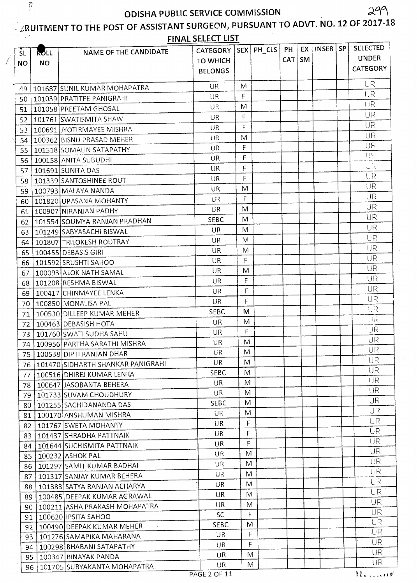$\ddot{y}$ 

فسيمته

# $\frac{1}{2}$ RUITMENT TO THE POST OF ASSISTANT SURGEON, PURSUANT TO ADVT. NO. 12 OF 2017-18

|           | is the<br>FINAL SELECT LIST |                                          |                         |    |   |    |          |              |           |                  |  |
|-----------|-----------------------------|------------------------------------------|-------------------------|----|---|----|----------|--------------|-----------|------------------|--|
| -ŠL       | ROLL                        | NAME OF THE CANDIDATE                    | CATEGORY   SEX   PH_CLS |    |   | PH | EX       | <b>INSER</b> | <b>SP</b> | <b>SELECTED</b>  |  |
| <b>NO</b> | <b>NO</b>                   |                                          | <b>TO WHICH</b>         |    |   |    | CAT   SM |              |           | <b>UNDER</b>     |  |
|           |                             |                                          | <b>BELONGS</b>          |    |   |    |          |              |           | <b>CATEGORY</b>  |  |
| 49        |                             | 101687 SUNIL KUMAR MOHAPATRA             | <b>UR</b>               | M  |   |    |          |              |           | <b>UR</b>        |  |
| 50        |                             | 101039 PRATITEE PANIGRAHI                | UR                      | F. |   |    |          |              |           | UR               |  |
| 51        |                             | 101058 PREETAM GHOSAL                    | UR.                     | M  |   |    |          |              |           | UR               |  |
| 52        |                             | 101761 SWATISMITA SHAW                   | UR                      | F  |   |    |          |              |           | UR               |  |
| 53        |                             | 100691 JYOTIRMAYEE MISHRA                | UR                      | F  |   |    |          |              |           | UR               |  |
| 54        |                             | 100362 BISNU PRASAD MEHER                | <b>UR</b>               | M  |   |    |          |              |           | UR               |  |
| 55        |                             | 101518 SOMALIN SATAPATHY                 | UR                      | F  |   |    |          |              |           | UR               |  |
| 56        |                             | 100158 ANITA SUBUDHI                     | UR                      | Ė  |   |    |          |              |           | UP               |  |
| 57        |                             | 101691 SUNITA DAS                        | <b>UR</b>               | F  |   |    |          |              |           | ींड              |  |
| 58        |                             | 101339 SANTOSHINEE ROUT                  | UR                      | F  |   |    |          |              |           | UR               |  |
| 59        |                             | 100793 MALAYA NANDA                      | UR                      | M  |   |    |          |              |           | UR               |  |
| 60        |                             | 101820 UPASANA MOHANTY                   | UR                      | F  |   |    |          |              |           | UR               |  |
| 61        |                             | 100907 NIRANJAN PADHY                    | UR.                     | M  |   |    |          |              |           | UR               |  |
| 62        |                             | 101554 SOUMYA RANJAN PRADHAN             | <b>SEBC</b>             | M  |   |    |          |              |           | UR               |  |
| 63        |                             | 101249 SABYASACHI BISWAL                 | UR                      | M  |   |    |          |              |           | UR               |  |
| 64        |                             | 101807 TRILOKESH ROUTRAY                 | UR                      | M  |   |    |          |              |           | UR               |  |
| 65        |                             | 100455 DEBASIS GIRI                      | <b>UR</b>               | M  |   |    |          |              |           | UR               |  |
| 66        |                             | 101592 SRUSHTI SAHOO                     | UR                      | F  |   |    |          |              |           | <b>UR</b>        |  |
| 67        |                             | 100093 ALOK NATH SAMAL                   | UR.                     | M  |   |    |          |              |           | UR               |  |
| 68        |                             | 101208 RESHMA BISWAL                     | UR                      | F  |   |    |          |              |           | UR               |  |
| 69        |                             | 100417 CHINMAYEE LENKA<br>$\sim$         | UR                      | F  |   |    |          |              |           | <b>UR</b>        |  |
| 70        |                             | 100850 MONALISA PAL                      | UR                      | F  |   |    |          |              |           | UR               |  |
| 71        |                             | 100530 DILLEEP KUMAR MEHER               | <b>SEBC</b>             | M  |   |    |          |              |           | IJR              |  |
| 72        |                             | 100463 DEBASISH HOTA                     | UR                      | M  |   |    |          |              |           | <b>SIU</b>       |  |
| 73        |                             | 101760 SWATI SUDHA SAHU                  | UR                      | F  |   |    |          |              |           | ∙UR              |  |
| 74        |                             | 100956 PARTHA SARATHI MISHRA             | UR                      | M  |   |    |          |              |           | UR               |  |
| 75        |                             | 100538 DIPTI RANJAN DHAR                 | UR                      | M  |   |    |          |              |           | UR               |  |
|           |                             | 76   101470   SIDHARTH SHANKAR PANIGRAHI | UR                      | M  |   |    |          |              |           | UR               |  |
| 77        |                             | 100516 DHIREJ KUMAR LENKA                | <b>SEBC</b>             | M  |   |    |          |              |           | UR               |  |
| 78        |                             | 100647 JASOBANTA BEHERA                  | UR.                     | M  |   |    |          |              |           | UR.              |  |
| 79        |                             | 101733 SUVAM CHOUDHURY                   | UR                      | M  |   |    |          |              |           | <b>UR</b>        |  |
| 80        |                             | 101255 SACHIDANANDA DAS                  | <b>SEBC</b>             | M  |   |    |          |              |           | UR               |  |
| 81        |                             | 100170 ANSHUMAN MISHRA                   | UR.                     | M  |   |    |          |              |           | <b>UR</b>        |  |
| 82.       |                             | 101767 SWETA MOHANTY                     | <b>UR</b>               | F  |   |    |          |              |           | <b>UR</b>        |  |
| 83        |                             | 101437 SHRADHA PATTNAIK                  | UR                      | F  |   |    |          |              |           | UR.<br><b>UR</b> |  |
| 84        |                             | 101644 SUCHISMITA PATTNAIK               | UR                      | F  |   |    |          |              |           | <b>UR</b>        |  |
| 85        |                             | 100232 ASHOK PAL                         | <b>UR</b>               | M  |   |    |          |              |           | <b>UR</b>        |  |
| 86        |                             | 101297 SAMIT KUMAR BADHAI                | UR                      | M  |   |    |          |              |           | LIR              |  |
| 87        |                             | 101317 SANJAY KUMAR BEHERA               | UR                      | M  |   |    |          |              |           | <b>LR</b>        |  |
| 88        |                             | 101383 SATYA RANJAN ACHARYA              | UR                      | M  |   |    |          |              |           | UR               |  |
| 89        |                             | 100485 DEEPAK KUMAR AGRAWAL              | UR                      | M  |   |    |          |              |           | <b>UR</b>        |  |
| 90        |                             | 100211 ASHA PRAKASH MOHAPATRA            | UR                      | M  |   |    |          |              |           | <b>UR</b>        |  |
| 91        |                             | 100620 IPSITA SAHOO                      | <b>SC</b>               | F  |   |    |          |              |           | UR               |  |
| 92        |                             | 100490 DEEPAK KUMAR MEHER                | <b>SEBC</b>             | M  |   |    |          |              |           | UR.              |  |
| 93        |                             | 101276 SAMAPIKA MAHARANA                 | UR.                     | F  |   |    |          |              |           | <b>UR</b>        |  |
| 94        |                             | 100298 BHABANI SATAPATHY                 | UR.                     | F  |   |    |          |              |           | <b>UR</b>        |  |
| 95        |                             | 100347 BINAYAK PANDA                     | UR                      | M  |   |    |          |              |           | <b>UR</b>        |  |
| 96        |                             | 101705 SURYAKANTA MOHAPATRA              | UR                      |    | M |    |          |              |           |                  |  |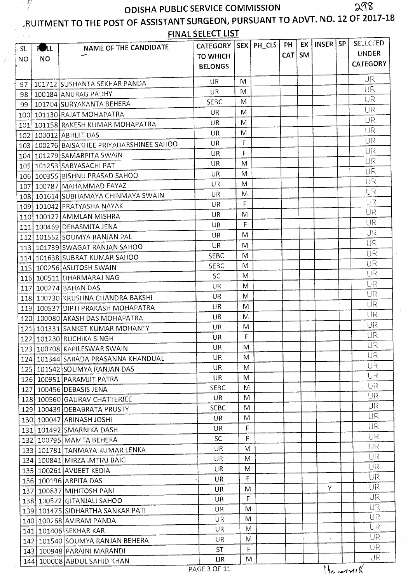$\frac{1}{2}$ 

#### **PRUITMENT TO THE POST OF ASSISTANT SURGEON, PURSUANT TO ADVT. NO. 12 OF 2017-18** FINAL SELECT LIST

| INSER I<br>PH<br>SEX PH CLS<br><b>CATEGORY</b><br>NAME OF THE CANDIDATE<br><b>RULL</b><br><b>UNDER</b><br><b>SM</b><br><b>CAT</b><br><b>TO WHICH</b><br><b>NO</b><br><b>CATEGORY</b><br><b>BELONGS</b><br>UR<br>M<br>$U$ R<br>101712 SUSHANTA SEKHAR PANDA<br>97<br>UR<br>M<br>UR<br>100184 ANURAG PADHY<br>98<br>UR<br>M<br><b>SEBC</b><br>101704 SURYAKANTA BEHERA<br>99<br>UR<br>UR<br>M<br>101130 RAJAT MOHAPATRA<br>100<br>UR<br>M<br>UR<br>101158 RAKESH KUMAR MOHAPATRA<br>101<br>UR<br>M<br>UR<br>100012 ABHUIT DAS<br>102<br>UR<br>F<br>UR<br>103   100276   BAISAKHEE PRIYADARSHINEE SAHOO<br>UR<br>F<br>UR<br>104   101279   SAMARPITA SWAIN<br>UR<br>M<br>UR<br>105   101253   SABYASACHI PATI<br>UR<br>M<br>UR<br>106 100355 BISHNU PRASAD SAHOO<br>UR<br>UR<br>M<br>107 100787 MAHAMMAD FAYAZ<br>IJR<br>UR<br>M<br>108   101614   SUBHAMAYA CHINMAYA SWAIN<br>मार<br>F<br>UR<br>109 101042 PRATYASHA NAYAK<br>UR<br>UR<br>M<br>110 100127 AMMLAN MISHRA<br>UR<br>F<br>UR<br>111 100469 DEBASMITA JENA<br>UR<br>M<br>UR<br>112 101552 SOUMYA RANJAN PAL<br>UR<br>M<br>UR<br>113   101739 SWAGAT RANJAN SAHOO<br>UR<br>M<br><b>SEBC</b><br>114 101638 SUBRAT KUMAR SAHOO<br>UR<br>M<br><b>SEBC</b><br>115 100256 ASUTOSH SWAIN<br>UR<br>SC<br>M<br>116 100511 DHARMARAJ NAG<br>UR<br><b>UR</b><br>M<br>117 100274 BAHAN DAS<br>UR<br>M<br>UR.<br>118 100730 KRUSHNA CHANDRA BAKSHI<br>UR<br>UR<br>M<br>119 100537 DIPTI PRAKASH MOHAPATRA<br>UR<br>M<br>UR<br>120 100080 AKASH DAS MOHAPATRA<br>UR<br>M<br>UR<br>121 101331 SANKET KUMAR MOHANTY<br>UR<br>F<br>UR.<br>122 101230 RUCHIKA SINGH<br>UR<br>M<br>123 100708 KAPILESWAR SWAIN<br>UK<br>UR<br>UR<br>M<br>124   101344   SARADA PRASANNA KHANDUAL<br>UR.<br>M<br>UR<br>125   101542   SOUMYA RANJAN DAS<br><b>UR</b><br>UR<br>M<br>126 100951 PARAMJIT PATRA<br>UR<br><b>SEBC</b><br>M<br>127 100456 DEBASIS JENA<br>UR.<br>M<br>UR.<br>128 100560 GAURAV CHATTERJEE<br>UR.<br><b>SEBC</b><br>M<br>129 100439 DEBABRATA PRUSTY<br><b>UR</b><br>M<br>UR<br>130 100047 ABINASH JOSHI<br><b>UR</b><br>F<br><b>UR</b><br>131   101492 SMARNIKA DASH<br><b>UR</b><br>F.<br>SC.<br>132   100795   MAMTA BEHERA<br><b>UR</b><br>UR.<br>M<br>133 101781 TANMAYA KUMAR LENKA<br>UR<br>M<br>UR<br>134 100841 MIRZA IMTIAJ BAIG<br>UR<br>M<br>UR<br>135 100261 AVIJEET KEDIA<br>UR<br>F<br>UR<br>136 100196 ARPITA DAS<br><b>UR</b><br>Y<br>UR<br>M<br>137 100837 MIHITOSH PANI<br>UR<br>F<br>UR<br>138 100572 GITANJALI SAHOO<br>UR<br>M<br>UR<br>139 101475 SIDHARTHA SANKAR PATI<br><b>UR</b><br>M<br>UR<br>140 100268 AVIRAM PANDA<br><b>UR</b><br><b>UR</b><br>M<br>141 101406 SEKHAR KAR<br><b>UR</b><br>UR<br>M<br>$\boldsymbol{r}$<br>142 101540 SOUMYA RANJAN BEHERA<br>UR<br>$\mathsf F$<br><b>ST</b><br>143 100948 PARAINI MARANDI<br>UR<br>M<br>UR<br>144 100008 ABDUL SAHID KHAN<br>$H_{\alpha}$ $\sim$ $14\%$<br>PAGE 3 OF 11 | $\lambda = 1$ |  | FINAL SELECT LIST |  |    |           |                 |
|-------------------------------------------------------------------------------------------------------------------------------------------------------------------------------------------------------------------------------------------------------------------------------------------------------------------------------------------------------------------------------------------------------------------------------------------------------------------------------------------------------------------------------------------------------------------------------------------------------------------------------------------------------------------------------------------------------------------------------------------------------------------------------------------------------------------------------------------------------------------------------------------------------------------------------------------------------------------------------------------------------------------------------------------------------------------------------------------------------------------------------------------------------------------------------------------------------------------------------------------------------------------------------------------------------------------------------------------------------------------------------------------------------------------------------------------------------------------------------------------------------------------------------------------------------------------------------------------------------------------------------------------------------------------------------------------------------------------------------------------------------------------------------------------------------------------------------------------------------------------------------------------------------------------------------------------------------------------------------------------------------------------------------------------------------------------------------------------------------------------------------------------------------------------------------------------------------------------------------------------------------------------------------------------------------------------------------------------------------------------------------------------------------------------------------------------------------------------------------------------------------------------------------------------------------------------------------------------------------------------------------------------------------------------------------------------------------------------------------------------------------------------------------------------------------------------------------------------------------------------------------------------------------|---------------|--|-------------------|--|----|-----------|-----------------|
|                                                                                                                                                                                                                                                                                                                                                                                                                                                                                                                                                                                                                                                                                                                                                                                                                                                                                                                                                                                                                                                                                                                                                                                                                                                                                                                                                                                                                                                                                                                                                                                                                                                                                                                                                                                                                                                                                                                                                                                                                                                                                                                                                                                                                                                                                                                                                                                                                                                                                                                                                                                                                                                                                                                                                                                                                                                                                                       | -SL           |  |                   |  | EX | <b>SP</b> | <b>SELECTED</b> |
|                                                                                                                                                                                                                                                                                                                                                                                                                                                                                                                                                                                                                                                                                                                                                                                                                                                                                                                                                                                                                                                                                                                                                                                                                                                                                                                                                                                                                                                                                                                                                                                                                                                                                                                                                                                                                                                                                                                                                                                                                                                                                                                                                                                                                                                                                                                                                                                                                                                                                                                                                                                                                                                                                                                                                                                                                                                                                                       | NO.           |  |                   |  |    |           |                 |
|                                                                                                                                                                                                                                                                                                                                                                                                                                                                                                                                                                                                                                                                                                                                                                                                                                                                                                                                                                                                                                                                                                                                                                                                                                                                                                                                                                                                                                                                                                                                                                                                                                                                                                                                                                                                                                                                                                                                                                                                                                                                                                                                                                                                                                                                                                                                                                                                                                                                                                                                                                                                                                                                                                                                                                                                                                                                                                       |               |  |                   |  |    |           |                 |
|                                                                                                                                                                                                                                                                                                                                                                                                                                                                                                                                                                                                                                                                                                                                                                                                                                                                                                                                                                                                                                                                                                                                                                                                                                                                                                                                                                                                                                                                                                                                                                                                                                                                                                                                                                                                                                                                                                                                                                                                                                                                                                                                                                                                                                                                                                                                                                                                                                                                                                                                                                                                                                                                                                                                                                                                                                                                                                       |               |  |                   |  |    |           |                 |
|                                                                                                                                                                                                                                                                                                                                                                                                                                                                                                                                                                                                                                                                                                                                                                                                                                                                                                                                                                                                                                                                                                                                                                                                                                                                                                                                                                                                                                                                                                                                                                                                                                                                                                                                                                                                                                                                                                                                                                                                                                                                                                                                                                                                                                                                                                                                                                                                                                                                                                                                                                                                                                                                                                                                                                                                                                                                                                       |               |  |                   |  |    |           |                 |
|                                                                                                                                                                                                                                                                                                                                                                                                                                                                                                                                                                                                                                                                                                                                                                                                                                                                                                                                                                                                                                                                                                                                                                                                                                                                                                                                                                                                                                                                                                                                                                                                                                                                                                                                                                                                                                                                                                                                                                                                                                                                                                                                                                                                                                                                                                                                                                                                                                                                                                                                                                                                                                                                                                                                                                                                                                                                                                       |               |  |                   |  |    |           |                 |
|                                                                                                                                                                                                                                                                                                                                                                                                                                                                                                                                                                                                                                                                                                                                                                                                                                                                                                                                                                                                                                                                                                                                                                                                                                                                                                                                                                                                                                                                                                                                                                                                                                                                                                                                                                                                                                                                                                                                                                                                                                                                                                                                                                                                                                                                                                                                                                                                                                                                                                                                                                                                                                                                                                                                                                                                                                                                                                       |               |  |                   |  |    |           |                 |
|                                                                                                                                                                                                                                                                                                                                                                                                                                                                                                                                                                                                                                                                                                                                                                                                                                                                                                                                                                                                                                                                                                                                                                                                                                                                                                                                                                                                                                                                                                                                                                                                                                                                                                                                                                                                                                                                                                                                                                                                                                                                                                                                                                                                                                                                                                                                                                                                                                                                                                                                                                                                                                                                                                                                                                                                                                                                                                       |               |  |                   |  |    |           |                 |
|                                                                                                                                                                                                                                                                                                                                                                                                                                                                                                                                                                                                                                                                                                                                                                                                                                                                                                                                                                                                                                                                                                                                                                                                                                                                                                                                                                                                                                                                                                                                                                                                                                                                                                                                                                                                                                                                                                                                                                                                                                                                                                                                                                                                                                                                                                                                                                                                                                                                                                                                                                                                                                                                                                                                                                                                                                                                                                       |               |  |                   |  |    |           |                 |
|                                                                                                                                                                                                                                                                                                                                                                                                                                                                                                                                                                                                                                                                                                                                                                                                                                                                                                                                                                                                                                                                                                                                                                                                                                                                                                                                                                                                                                                                                                                                                                                                                                                                                                                                                                                                                                                                                                                                                                                                                                                                                                                                                                                                                                                                                                                                                                                                                                                                                                                                                                                                                                                                                                                                                                                                                                                                                                       |               |  |                   |  |    |           |                 |
|                                                                                                                                                                                                                                                                                                                                                                                                                                                                                                                                                                                                                                                                                                                                                                                                                                                                                                                                                                                                                                                                                                                                                                                                                                                                                                                                                                                                                                                                                                                                                                                                                                                                                                                                                                                                                                                                                                                                                                                                                                                                                                                                                                                                                                                                                                                                                                                                                                                                                                                                                                                                                                                                                                                                                                                                                                                                                                       |               |  |                   |  |    |           |                 |
|                                                                                                                                                                                                                                                                                                                                                                                                                                                                                                                                                                                                                                                                                                                                                                                                                                                                                                                                                                                                                                                                                                                                                                                                                                                                                                                                                                                                                                                                                                                                                                                                                                                                                                                                                                                                                                                                                                                                                                                                                                                                                                                                                                                                                                                                                                                                                                                                                                                                                                                                                                                                                                                                                                                                                                                                                                                                                                       |               |  |                   |  |    |           |                 |
|                                                                                                                                                                                                                                                                                                                                                                                                                                                                                                                                                                                                                                                                                                                                                                                                                                                                                                                                                                                                                                                                                                                                                                                                                                                                                                                                                                                                                                                                                                                                                                                                                                                                                                                                                                                                                                                                                                                                                                                                                                                                                                                                                                                                                                                                                                                                                                                                                                                                                                                                                                                                                                                                                                                                                                                                                                                                                                       |               |  |                   |  |    |           |                 |
|                                                                                                                                                                                                                                                                                                                                                                                                                                                                                                                                                                                                                                                                                                                                                                                                                                                                                                                                                                                                                                                                                                                                                                                                                                                                                                                                                                                                                                                                                                                                                                                                                                                                                                                                                                                                                                                                                                                                                                                                                                                                                                                                                                                                                                                                                                                                                                                                                                                                                                                                                                                                                                                                                                                                                                                                                                                                                                       |               |  |                   |  |    |           |                 |
|                                                                                                                                                                                                                                                                                                                                                                                                                                                                                                                                                                                                                                                                                                                                                                                                                                                                                                                                                                                                                                                                                                                                                                                                                                                                                                                                                                                                                                                                                                                                                                                                                                                                                                                                                                                                                                                                                                                                                                                                                                                                                                                                                                                                                                                                                                                                                                                                                                                                                                                                                                                                                                                                                                                                                                                                                                                                                                       |               |  |                   |  |    |           |                 |
|                                                                                                                                                                                                                                                                                                                                                                                                                                                                                                                                                                                                                                                                                                                                                                                                                                                                                                                                                                                                                                                                                                                                                                                                                                                                                                                                                                                                                                                                                                                                                                                                                                                                                                                                                                                                                                                                                                                                                                                                                                                                                                                                                                                                                                                                                                                                                                                                                                                                                                                                                                                                                                                                                                                                                                                                                                                                                                       |               |  |                   |  |    |           |                 |
|                                                                                                                                                                                                                                                                                                                                                                                                                                                                                                                                                                                                                                                                                                                                                                                                                                                                                                                                                                                                                                                                                                                                                                                                                                                                                                                                                                                                                                                                                                                                                                                                                                                                                                                                                                                                                                                                                                                                                                                                                                                                                                                                                                                                                                                                                                                                                                                                                                                                                                                                                                                                                                                                                                                                                                                                                                                                                                       |               |  |                   |  |    |           |                 |
|                                                                                                                                                                                                                                                                                                                                                                                                                                                                                                                                                                                                                                                                                                                                                                                                                                                                                                                                                                                                                                                                                                                                                                                                                                                                                                                                                                                                                                                                                                                                                                                                                                                                                                                                                                                                                                                                                                                                                                                                                                                                                                                                                                                                                                                                                                                                                                                                                                                                                                                                                                                                                                                                                                                                                                                                                                                                                                       |               |  |                   |  |    |           |                 |
|                                                                                                                                                                                                                                                                                                                                                                                                                                                                                                                                                                                                                                                                                                                                                                                                                                                                                                                                                                                                                                                                                                                                                                                                                                                                                                                                                                                                                                                                                                                                                                                                                                                                                                                                                                                                                                                                                                                                                                                                                                                                                                                                                                                                                                                                                                                                                                                                                                                                                                                                                                                                                                                                                                                                                                                                                                                                                                       |               |  |                   |  |    |           |                 |
|                                                                                                                                                                                                                                                                                                                                                                                                                                                                                                                                                                                                                                                                                                                                                                                                                                                                                                                                                                                                                                                                                                                                                                                                                                                                                                                                                                                                                                                                                                                                                                                                                                                                                                                                                                                                                                                                                                                                                                                                                                                                                                                                                                                                                                                                                                                                                                                                                                                                                                                                                                                                                                                                                                                                                                                                                                                                                                       |               |  |                   |  |    |           |                 |
|                                                                                                                                                                                                                                                                                                                                                                                                                                                                                                                                                                                                                                                                                                                                                                                                                                                                                                                                                                                                                                                                                                                                                                                                                                                                                                                                                                                                                                                                                                                                                                                                                                                                                                                                                                                                                                                                                                                                                                                                                                                                                                                                                                                                                                                                                                                                                                                                                                                                                                                                                                                                                                                                                                                                                                                                                                                                                                       |               |  |                   |  |    |           |                 |
|                                                                                                                                                                                                                                                                                                                                                                                                                                                                                                                                                                                                                                                                                                                                                                                                                                                                                                                                                                                                                                                                                                                                                                                                                                                                                                                                                                                                                                                                                                                                                                                                                                                                                                                                                                                                                                                                                                                                                                                                                                                                                                                                                                                                                                                                                                                                                                                                                                                                                                                                                                                                                                                                                                                                                                                                                                                                                                       |               |  |                   |  |    |           |                 |
|                                                                                                                                                                                                                                                                                                                                                                                                                                                                                                                                                                                                                                                                                                                                                                                                                                                                                                                                                                                                                                                                                                                                                                                                                                                                                                                                                                                                                                                                                                                                                                                                                                                                                                                                                                                                                                                                                                                                                                                                                                                                                                                                                                                                                                                                                                                                                                                                                                                                                                                                                                                                                                                                                                                                                                                                                                                                                                       |               |  |                   |  |    |           |                 |
|                                                                                                                                                                                                                                                                                                                                                                                                                                                                                                                                                                                                                                                                                                                                                                                                                                                                                                                                                                                                                                                                                                                                                                                                                                                                                                                                                                                                                                                                                                                                                                                                                                                                                                                                                                                                                                                                                                                                                                                                                                                                                                                                                                                                                                                                                                                                                                                                                                                                                                                                                                                                                                                                                                                                                                                                                                                                                                       |               |  |                   |  |    |           |                 |
|                                                                                                                                                                                                                                                                                                                                                                                                                                                                                                                                                                                                                                                                                                                                                                                                                                                                                                                                                                                                                                                                                                                                                                                                                                                                                                                                                                                                                                                                                                                                                                                                                                                                                                                                                                                                                                                                                                                                                                                                                                                                                                                                                                                                                                                                                                                                                                                                                                                                                                                                                                                                                                                                                                                                                                                                                                                                                                       |               |  |                   |  |    |           |                 |
|                                                                                                                                                                                                                                                                                                                                                                                                                                                                                                                                                                                                                                                                                                                                                                                                                                                                                                                                                                                                                                                                                                                                                                                                                                                                                                                                                                                                                                                                                                                                                                                                                                                                                                                                                                                                                                                                                                                                                                                                                                                                                                                                                                                                                                                                                                                                                                                                                                                                                                                                                                                                                                                                                                                                                                                                                                                                                                       |               |  |                   |  |    |           |                 |
|                                                                                                                                                                                                                                                                                                                                                                                                                                                                                                                                                                                                                                                                                                                                                                                                                                                                                                                                                                                                                                                                                                                                                                                                                                                                                                                                                                                                                                                                                                                                                                                                                                                                                                                                                                                                                                                                                                                                                                                                                                                                                                                                                                                                                                                                                                                                                                                                                                                                                                                                                                                                                                                                                                                                                                                                                                                                                                       |               |  |                   |  |    |           |                 |
|                                                                                                                                                                                                                                                                                                                                                                                                                                                                                                                                                                                                                                                                                                                                                                                                                                                                                                                                                                                                                                                                                                                                                                                                                                                                                                                                                                                                                                                                                                                                                                                                                                                                                                                                                                                                                                                                                                                                                                                                                                                                                                                                                                                                                                                                                                                                                                                                                                                                                                                                                                                                                                                                                                                                                                                                                                                                                                       |               |  |                   |  |    |           |                 |
|                                                                                                                                                                                                                                                                                                                                                                                                                                                                                                                                                                                                                                                                                                                                                                                                                                                                                                                                                                                                                                                                                                                                                                                                                                                                                                                                                                                                                                                                                                                                                                                                                                                                                                                                                                                                                                                                                                                                                                                                                                                                                                                                                                                                                                                                                                                                                                                                                                                                                                                                                                                                                                                                                                                                                                                                                                                                                                       |               |  |                   |  |    |           |                 |
|                                                                                                                                                                                                                                                                                                                                                                                                                                                                                                                                                                                                                                                                                                                                                                                                                                                                                                                                                                                                                                                                                                                                                                                                                                                                                                                                                                                                                                                                                                                                                                                                                                                                                                                                                                                                                                                                                                                                                                                                                                                                                                                                                                                                                                                                                                                                                                                                                                                                                                                                                                                                                                                                                                                                                                                                                                                                                                       |               |  |                   |  |    |           |                 |
|                                                                                                                                                                                                                                                                                                                                                                                                                                                                                                                                                                                                                                                                                                                                                                                                                                                                                                                                                                                                                                                                                                                                                                                                                                                                                                                                                                                                                                                                                                                                                                                                                                                                                                                                                                                                                                                                                                                                                                                                                                                                                                                                                                                                                                                                                                                                                                                                                                                                                                                                                                                                                                                                                                                                                                                                                                                                                                       |               |  |                   |  |    |           |                 |
|                                                                                                                                                                                                                                                                                                                                                                                                                                                                                                                                                                                                                                                                                                                                                                                                                                                                                                                                                                                                                                                                                                                                                                                                                                                                                                                                                                                                                                                                                                                                                                                                                                                                                                                                                                                                                                                                                                                                                                                                                                                                                                                                                                                                                                                                                                                                                                                                                                                                                                                                                                                                                                                                                                                                                                                                                                                                                                       |               |  |                   |  |    |           |                 |
|                                                                                                                                                                                                                                                                                                                                                                                                                                                                                                                                                                                                                                                                                                                                                                                                                                                                                                                                                                                                                                                                                                                                                                                                                                                                                                                                                                                                                                                                                                                                                                                                                                                                                                                                                                                                                                                                                                                                                                                                                                                                                                                                                                                                                                                                                                                                                                                                                                                                                                                                                                                                                                                                                                                                                                                                                                                                                                       |               |  |                   |  |    |           |                 |
|                                                                                                                                                                                                                                                                                                                                                                                                                                                                                                                                                                                                                                                                                                                                                                                                                                                                                                                                                                                                                                                                                                                                                                                                                                                                                                                                                                                                                                                                                                                                                                                                                                                                                                                                                                                                                                                                                                                                                                                                                                                                                                                                                                                                                                                                                                                                                                                                                                                                                                                                                                                                                                                                                                                                                                                                                                                                                                       |               |  |                   |  |    |           |                 |
|                                                                                                                                                                                                                                                                                                                                                                                                                                                                                                                                                                                                                                                                                                                                                                                                                                                                                                                                                                                                                                                                                                                                                                                                                                                                                                                                                                                                                                                                                                                                                                                                                                                                                                                                                                                                                                                                                                                                                                                                                                                                                                                                                                                                                                                                                                                                                                                                                                                                                                                                                                                                                                                                                                                                                                                                                                                                                                       |               |  |                   |  |    |           |                 |
|                                                                                                                                                                                                                                                                                                                                                                                                                                                                                                                                                                                                                                                                                                                                                                                                                                                                                                                                                                                                                                                                                                                                                                                                                                                                                                                                                                                                                                                                                                                                                                                                                                                                                                                                                                                                                                                                                                                                                                                                                                                                                                                                                                                                                                                                                                                                                                                                                                                                                                                                                                                                                                                                                                                                                                                                                                                                                                       |               |  |                   |  |    |           |                 |
|                                                                                                                                                                                                                                                                                                                                                                                                                                                                                                                                                                                                                                                                                                                                                                                                                                                                                                                                                                                                                                                                                                                                                                                                                                                                                                                                                                                                                                                                                                                                                                                                                                                                                                                                                                                                                                                                                                                                                                                                                                                                                                                                                                                                                                                                                                                                                                                                                                                                                                                                                                                                                                                                                                                                                                                                                                                                                                       |               |  |                   |  |    |           |                 |
|                                                                                                                                                                                                                                                                                                                                                                                                                                                                                                                                                                                                                                                                                                                                                                                                                                                                                                                                                                                                                                                                                                                                                                                                                                                                                                                                                                                                                                                                                                                                                                                                                                                                                                                                                                                                                                                                                                                                                                                                                                                                                                                                                                                                                                                                                                                                                                                                                                                                                                                                                                                                                                                                                                                                                                                                                                                                                                       |               |  |                   |  |    |           |                 |
|                                                                                                                                                                                                                                                                                                                                                                                                                                                                                                                                                                                                                                                                                                                                                                                                                                                                                                                                                                                                                                                                                                                                                                                                                                                                                                                                                                                                                                                                                                                                                                                                                                                                                                                                                                                                                                                                                                                                                                                                                                                                                                                                                                                                                                                                                                                                                                                                                                                                                                                                                                                                                                                                                                                                                                                                                                                                                                       |               |  |                   |  |    |           |                 |
|                                                                                                                                                                                                                                                                                                                                                                                                                                                                                                                                                                                                                                                                                                                                                                                                                                                                                                                                                                                                                                                                                                                                                                                                                                                                                                                                                                                                                                                                                                                                                                                                                                                                                                                                                                                                                                                                                                                                                                                                                                                                                                                                                                                                                                                                                                                                                                                                                                                                                                                                                                                                                                                                                                                                                                                                                                                                                                       |               |  |                   |  |    |           |                 |
|                                                                                                                                                                                                                                                                                                                                                                                                                                                                                                                                                                                                                                                                                                                                                                                                                                                                                                                                                                                                                                                                                                                                                                                                                                                                                                                                                                                                                                                                                                                                                                                                                                                                                                                                                                                                                                                                                                                                                                                                                                                                                                                                                                                                                                                                                                                                                                                                                                                                                                                                                                                                                                                                                                                                                                                                                                                                                                       |               |  |                   |  |    |           |                 |
|                                                                                                                                                                                                                                                                                                                                                                                                                                                                                                                                                                                                                                                                                                                                                                                                                                                                                                                                                                                                                                                                                                                                                                                                                                                                                                                                                                                                                                                                                                                                                                                                                                                                                                                                                                                                                                                                                                                                                                                                                                                                                                                                                                                                                                                                                                                                                                                                                                                                                                                                                                                                                                                                                                                                                                                                                                                                                                       |               |  |                   |  |    |           |                 |
|                                                                                                                                                                                                                                                                                                                                                                                                                                                                                                                                                                                                                                                                                                                                                                                                                                                                                                                                                                                                                                                                                                                                                                                                                                                                                                                                                                                                                                                                                                                                                                                                                                                                                                                                                                                                                                                                                                                                                                                                                                                                                                                                                                                                                                                                                                                                                                                                                                                                                                                                                                                                                                                                                                                                                                                                                                                                                                       |               |  |                   |  |    |           |                 |
|                                                                                                                                                                                                                                                                                                                                                                                                                                                                                                                                                                                                                                                                                                                                                                                                                                                                                                                                                                                                                                                                                                                                                                                                                                                                                                                                                                                                                                                                                                                                                                                                                                                                                                                                                                                                                                                                                                                                                                                                                                                                                                                                                                                                                                                                                                                                                                                                                                                                                                                                                                                                                                                                                                                                                                                                                                                                                                       |               |  |                   |  |    |           |                 |
|                                                                                                                                                                                                                                                                                                                                                                                                                                                                                                                                                                                                                                                                                                                                                                                                                                                                                                                                                                                                                                                                                                                                                                                                                                                                                                                                                                                                                                                                                                                                                                                                                                                                                                                                                                                                                                                                                                                                                                                                                                                                                                                                                                                                                                                                                                                                                                                                                                                                                                                                                                                                                                                                                                                                                                                                                                                                                                       |               |  |                   |  |    |           |                 |
|                                                                                                                                                                                                                                                                                                                                                                                                                                                                                                                                                                                                                                                                                                                                                                                                                                                                                                                                                                                                                                                                                                                                                                                                                                                                                                                                                                                                                                                                                                                                                                                                                                                                                                                                                                                                                                                                                                                                                                                                                                                                                                                                                                                                                                                                                                                                                                                                                                                                                                                                                                                                                                                                                                                                                                                                                                                                                                       |               |  |                   |  |    |           |                 |
|                                                                                                                                                                                                                                                                                                                                                                                                                                                                                                                                                                                                                                                                                                                                                                                                                                                                                                                                                                                                                                                                                                                                                                                                                                                                                                                                                                                                                                                                                                                                                                                                                                                                                                                                                                                                                                                                                                                                                                                                                                                                                                                                                                                                                                                                                                                                                                                                                                                                                                                                                                                                                                                                                                                                                                                                                                                                                                       |               |  |                   |  |    |           |                 |
|                                                                                                                                                                                                                                                                                                                                                                                                                                                                                                                                                                                                                                                                                                                                                                                                                                                                                                                                                                                                                                                                                                                                                                                                                                                                                                                                                                                                                                                                                                                                                                                                                                                                                                                                                                                                                                                                                                                                                                                                                                                                                                                                                                                                                                                                                                                                                                                                                                                                                                                                                                                                                                                                                                                                                                                                                                                                                                       |               |  |                   |  |    |           |                 |
|                                                                                                                                                                                                                                                                                                                                                                                                                                                                                                                                                                                                                                                                                                                                                                                                                                                                                                                                                                                                                                                                                                                                                                                                                                                                                                                                                                                                                                                                                                                                                                                                                                                                                                                                                                                                                                                                                                                                                                                                                                                                                                                                                                                                                                                                                                                                                                                                                                                                                                                                                                                                                                                                                                                                                                                                                                                                                                       |               |  |                   |  |    |           |                 |
|                                                                                                                                                                                                                                                                                                                                                                                                                                                                                                                                                                                                                                                                                                                                                                                                                                                                                                                                                                                                                                                                                                                                                                                                                                                                                                                                                                                                                                                                                                                                                                                                                                                                                                                                                                                                                                                                                                                                                                                                                                                                                                                                                                                                                                                                                                                                                                                                                                                                                                                                                                                                                                                                                                                                                                                                                                                                                                       |               |  |                   |  |    |           |                 |
|                                                                                                                                                                                                                                                                                                                                                                                                                                                                                                                                                                                                                                                                                                                                                                                                                                                                                                                                                                                                                                                                                                                                                                                                                                                                                                                                                                                                                                                                                                                                                                                                                                                                                                                                                                                                                                                                                                                                                                                                                                                                                                                                                                                                                                                                                                                                                                                                                                                                                                                                                                                                                                                                                                                                                                                                                                                                                                       |               |  |                   |  |    |           |                 |
|                                                                                                                                                                                                                                                                                                                                                                                                                                                                                                                                                                                                                                                                                                                                                                                                                                                                                                                                                                                                                                                                                                                                                                                                                                                                                                                                                                                                                                                                                                                                                                                                                                                                                                                                                                                                                                                                                                                                                                                                                                                                                                                                                                                                                                                                                                                                                                                                                                                                                                                                                                                                                                                                                                                                                                                                                                                                                                       |               |  |                   |  |    |           |                 |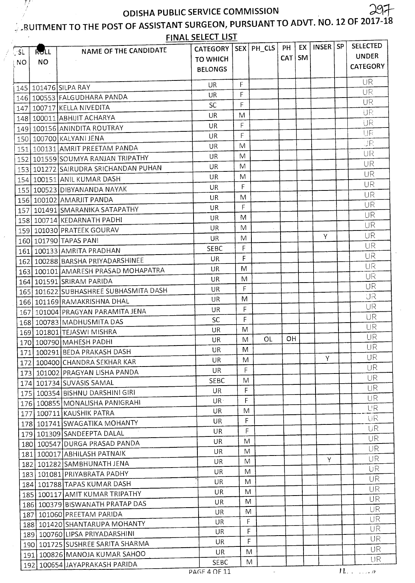### RUITMENT TO THE POST OF ASSISTANT SURGEON, PURSUANT TO ADVT. NO. 12 OF 2017-18

|      |           |                                          | <b>FINAL SELECT LIST</b>    |              |              |            |           |              |           |                                 |
|------|-----------|------------------------------------------|-----------------------------|--------------|--------------|------------|-----------|--------------|-----------|---------------------------------|
| !∴SL | RULL      | NAME OF THE CANDIDATE                    | <b>CATEGORY</b>             |              | SEX   PH_CLS | PH         | EX        | <b>INSER</b> | <b>SP</b> | <b>SELECTED</b>                 |
| NO   | <b>NO</b> |                                          | <b>TO WHICH</b>             |              |              | <b>CAT</b> | <b>SM</b> |              |           | <b>UNDER</b><br><b>CATEGORY</b> |
|      |           |                                          | <b>BELONGS</b>              |              |              |            |           |              |           |                                 |
|      |           | 145 101476 SILPA RAY                     | UR                          | F            |              |            |           |              |           | UR                              |
|      |           | 146 100553 FALGUDHARA PANDA              | UR                          | F            |              |            |           |              |           | <b>UR</b>                       |
|      |           | 147 100717 KELLA NIVEDITA                | <b>SC</b>                   | Ë            |              |            |           |              |           | UR                              |
|      |           | 148 100011 ABHIJIT ACHARYA               | UR                          | M            |              |            |           |              |           | UR                              |
|      |           | 149 100156 ANINDITA ROUTRAY              | UR                          | $\mathsf{F}$ |              |            |           |              |           | UR                              |
|      |           | 150   100700   KALYANI JENA              | UR.                         | F            |              |            |           |              |           | UR                              |
|      |           | 151   100131   AMRIT PREETAM PANDA       | UR                          | M            |              |            |           |              |           | IJR                             |
|      |           | 152 101559 SOUMYA RANJAN TRIPATHY        | UR                          | M            |              |            |           |              |           | UR                              |
|      |           | 153   101272   SAIRUDRA SRICHANDAN PUHAN | UR                          | M            |              |            |           |              |           | UR                              |
|      |           | 154   100151   ANIL KUMAR DASH           | UR                          | M            |              |            |           |              |           | UR                              |
|      |           | 155 100523 DIBYANANDA NAYAK              | UR                          | F            |              |            |           |              |           | UR                              |
|      |           | 156   100102   AMARJIT PANDA             | UR                          | M            |              |            |           |              |           | UR                              |
|      |           | 157   101491 SMARANIKA SATAPATHY         | UR.                         | F            |              |            |           |              |           | <b>UR</b>                       |
|      |           | 158 100714 KEDARNATH PADHI               | UR                          | M            |              |            |           |              |           | UR                              |
|      |           | 159   101030 PRATEEK GOURAV              | UR                          | M            |              |            |           |              |           | UR                              |
|      |           | 160 101790 TAPAS PANI                    | UR                          | M            |              |            |           | Y            |           | UR                              |
|      |           | 161   100133   AMRITA PRADHAN            | <b>SEBC</b>                 | F            |              |            |           |              |           | UR                              |
|      |           | 162   100288   BARSHA PRIYADARSHINEE     | UR.                         | F            |              |            |           |              |           | UR                              |
|      |           | 163 100101 AMARESH PRASAD MOHAPATRA      | UR.                         | M            |              |            |           |              |           | UR                              |
|      |           | 164 101591 SRIRAM PARIDA                 | UR                          | M            |              |            |           |              |           | UR                              |
|      |           | 165   101622 SUBHASHREE SUBHASMITA DASH  | UR                          | F            |              |            |           |              |           | UR                              |
|      |           | 166   101169 RAMAKRISHNA DHAL            | UR                          | M            |              |            |           |              |           | UR                              |
| 167  |           | 101004 PRAGYAN PARAMITA JENA             | UR                          | F            |              |            |           |              |           | UR                              |
|      |           | 168 100783 MADHUSMITA DAS                | <b>SC</b>                   | F            |              |            |           |              |           | UR                              |
|      |           | 169 101801 TEJASWI MISHRA                | UR                          | M            |              |            |           |              |           | UR                              |
|      |           | 170 100790 MAHESH PADHI                  | UR                          | M            | OL           | OH         |           |              |           | UR                              |
|      |           | 171   100291   BEDA PRAKASH DASH         | UR.                         | M            |              |            |           |              |           | UR                              |
|      |           | 172 100400 CHANDRA SEKHAR KAR            | UR                          | M            |              |            |           | Y            |           | <b>UR</b>                       |
|      |           | 173 101002 PRAGYAN LISHA PANDA           | UR.                         | F            |              |            |           |              |           | UR.                             |
|      |           | 174 101734 SUVASIS SAMAL                 | <b>SEBC</b>                 | M            |              |            |           |              |           | <b>UR</b>                       |
|      |           | 175 100354 BISHNU DARSHINI GIRI          | UR.                         | F            |              |            |           |              |           | UR.                             |
|      |           | 176 100855 MONALISHA PANIGRAHI           | UR <sub>1</sub>             | F            |              |            |           |              |           | <b>UR</b>                       |
|      |           | 177 100711 KAUSHIK PATRA                 | UR.                         | M            |              |            |           |              |           | UR.                             |
|      |           | 178 101741 SWAGATIKA MOHANTY             | <b>UR</b>                   | F            |              |            |           |              |           | UR                              |
|      |           | 179 101309 SANDEEPTA DALAL               | UR                          | F            |              |            |           |              |           | <b>UR</b>                       |
|      |           | 180 100547 DURGA PRASAD PANDA            | UR.                         | M            |              |            |           |              |           | UR                              |
|      |           | 181 100017 ABHILASH PATNAIK              | UR                          | M            |              |            |           |              |           | UR<br>UR                        |
|      |           | 182 101282 SAMBHUNATH JENA               | UR                          | M            |              |            |           | Y            |           | UR                              |
|      |           | 183 101081 PRIYABRATA PADHY              | UR                          | M            |              |            |           |              |           | <b>UR</b>                       |
|      |           | 184 101788 TAPAS KUMAR DASH              | UR                          | M            |              |            |           |              |           | UR                              |
|      |           | 185 100117 AMIT KUMAR TRIPATHY           | UR                          | M            |              |            |           |              |           | UR                              |
|      |           | 186 100379 BISWANATH PRATAP DAS          | UR                          | M            |              |            |           |              |           | UR                              |
|      |           | 187   101060 PREETAM PARIDA              | UR                          | M            |              |            |           |              |           | UR                              |
|      |           | 188 101420 SHANTARUPA MOHANTY            | UR                          |              | F.           |            |           |              |           | UR                              |
|      |           | 189 100760 LIPSA PRIYADARSHINI           | UR.                         |              | F            |            |           |              |           | UR                              |
|      |           | 190 101725 SUSHREE SARITA SHARMA         | UR                          |              | F            |            |           |              |           | UR                              |
|      |           | 191   100826   MANOJA KUMAR SAHOO        | <b>UR</b>                   |              | M            |            |           |              |           | UR                              |
|      |           | 192 100654 JAYAPRAKASH PARIDA            | <b>SEBC</b><br>PAGF 4 OF 11 |              | M            |            |           |              |           | 11.11                           |
|      |           |                                          |                             |              | $\sim$       |            |           |              |           |                                 |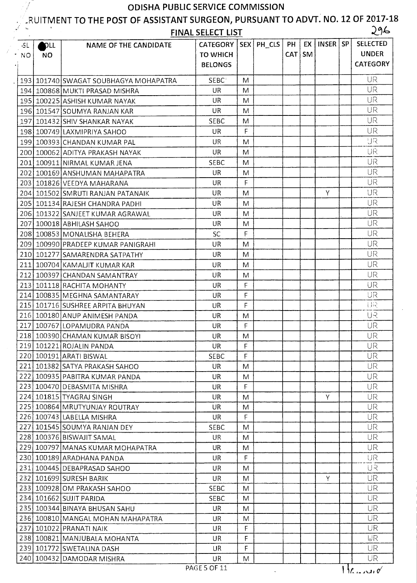Y

# RUITMENT TO THE POST OF ASSISTANT SURGEON, PURSUANT TO ADVT. NO. 12 OF 2017-18

| $\mathcal{L} = \mathbf{u}$ | $\bullet$ |                                         | <b>FINAL SELECT LIST</b> |              |                    |          |    |          | 296             |
|----------------------------|-----------|-----------------------------------------|--------------------------|--------------|--------------------|----------|----|----------|-----------------|
| $-SL$                      | DLL       | <b>NAME OF THE CANDIDATE</b>            | <b>CATEGORY</b>          |              | $ $ SEX $ $ PH_CLS | PH       | EX | INSER SP | <b>SELECTED</b> |
| NO.                        | NO.       |                                         | <b>TO WHICH</b>          |              |                    | CAT   SM |    |          | <b>UNDER</b>    |
|                            |           |                                         | <b>BELONGS</b>           |              |                    |          |    |          | <b>CATEGORY</b> |
|                            |           | 193   101740 SWAGAT SOUBHAGYA MOHAPATRA | <b>SEBC</b>              | M            |                    |          |    |          | UR              |
|                            |           | 194 100868 MUKTI PRASAD MISHRA          | UR                       | M            |                    |          |    |          | <b>UR</b>       |
|                            |           | 195 100225 ASHISH KUMAR NAYAK           | UR                       | M            |                    |          |    |          | <b>UR</b>       |
|                            |           | 196 101547 SOUMYA RANJAN KAR            | <b>UR</b>                | M            |                    |          |    |          | UR              |
|                            |           | 197 101432 SHIV SHANKAR NAYAK           | <b>SEBC</b>              | M            |                    |          |    |          | UR              |
|                            |           | 198 100749 LAXMIPRIYA SAHOO             | UR                       | F            |                    |          |    |          | UR              |
|                            |           | 199 100393 CHANDAN KUMAR PAL            | <b>UR</b>                | M            |                    |          |    |          | UR              |
|                            |           | 200 100062 ADITYA PRAKASH NAYAK         | UR                       | M            |                    |          |    |          | UR              |
|                            |           | 201 100911 NIRMAL KUMAR JENA            | <b>SEBC</b>              | M            |                    |          |    |          | UR              |
| 202                        |           | 100169 ANSHUMAN MAHAPATRA               | UR                       | M            |                    |          |    |          | UR              |
|                            |           | 203 101826 VEEDYA MAHARANA              | UR                       | F            |                    |          |    |          | UR              |
|                            |           | 204 101502 SMRUTI RANJAN PATANAIK       | UR                       | M            |                    |          |    | Y        | UR              |
|                            |           | 205 101134 RAJESH CHANDRA PADHI         | UR                       | M            |                    |          |    |          | <b>UR</b>       |
|                            |           | 206 101322 SANJEET KUMAR AGRAWAL        | UR                       | M            |                    |          |    |          | <b>UR</b>       |
|                            |           | 207 100018 ABHILASH SAHOO               | UR                       | M            |                    |          |    |          | UR              |
|                            |           | 208 100853 MONALISHA BEHERA             | <b>SC</b>                | $\mathsf{F}$ |                    |          |    |          | <b>UR</b>       |
|                            |           | 209 100990 PRADEEP KUMAR PANIGRAHI      | UR                       | M            |                    |          |    |          | <b>UR</b>       |
|                            |           | 210 101277 SAMARENDRA SATPATHY          | UR                       | M            |                    |          |    |          | UR              |
|                            |           | 211 100704 KAMALJIT KUMAR KAR           | <b>UR</b>                | M            |                    |          |    |          | UR              |
|                            |           | 212 100397 CHANDAN SAMANTRAY            | UR                       | M            |                    |          |    |          | UR              |
|                            |           | 213 101118 RACHITA MOHANTY              | UR                       | F            |                    |          |    |          | UR              |
|                            |           | 214 100835 MEGHNA SAMANTARAY            | UR                       | $\mathsf F$  |                    |          |    |          | UR              |
|                            |           | 215 101716 SUSHREE ARPITA BHUYAN        | <b>UR</b>                | F            |                    |          |    |          | 目泉              |
|                            |           | 216 100180 ANUP ANIMESH PANDA           | UR                       | M            |                    |          |    |          | リス              |
|                            |           | 217 100767 LOPAMUDRA PANDA              | UR                       | F            |                    |          |    |          | UR              |
|                            |           | 218 100390 CHAMAN KUMAR BISOYI          | <b>UR</b>                | M            |                    |          |    |          | UR              |
|                            |           | 219 101221 ROJALIN PANDA                | UR.                      | F            |                    |          |    |          | UR              |
|                            |           | 220 100191 ARATI BISWAL                 | <b>SEBC</b>              | F            |                    |          |    |          | UR              |
|                            |           | 221 101382 SATYA PRAKASH SAHOO          | UR.                      | M            |                    |          |    |          | UR.             |
|                            |           | 222 100935 PABITRA KUMAR PANDA          | UR.                      | M            |                    |          |    |          | <b>UR</b>       |
|                            |           | 223 100470 DEBASMITA MISHRA             | UR                       | F            |                    |          |    |          | UR.             |
|                            |           | 224 101815 TYAGRAJ SINGH                | <b>UR</b>                | M            |                    |          |    | Y        | UR              |
|                            |           | 225 100864 MRUTYUNJAY ROUTRAY           | UR                       | M            |                    |          |    |          | <b>UR</b>       |
|                            |           | 226 100743 LABELLA MISHRA               | UR                       | F            |                    |          |    |          | UR              |
|                            |           | 227 101545 SOUMYA RANJAN DEY            | <b>SEBC</b>              | M            |                    |          |    |          | <b>UR</b>       |
|                            |           | 228 100376 BISWAJIT SAMAL               | UR                       | M            |                    |          |    |          | UR.             |
|                            |           | 229 100797 MANAS KUMAR MOHAPATRA        | UR.                      | M            |                    |          |    |          | <b>UR</b>       |
|                            |           | 230 100189 ARADHANA PANDA               | UR                       | F            |                    |          |    |          | UR              |
|                            |           | 231 100445 DEBAPRASAD SAHOO             | UR                       | M            |                    |          |    |          | リス              |
|                            |           | 232 101699 SURESH BARIK                 | UR                       | M            |                    |          |    | Y        | UR.             |
|                            |           | 233 100928 OM PRAKASH SAHOO             | <b>SEBC</b>              | M            |                    |          |    |          | <b>UR</b>       |
|                            |           | 234 101662 SUJIT PARIDA                 | <b>SEBC</b>              | M            |                    |          |    |          | <b>UR</b>       |
|                            |           | 235 100344 BINAYA BHUSAN SAHU           | <b>UR</b>                | M            |                    |          |    |          | <b>UR</b>       |
|                            |           | 236 100810 MANGAL MOHAN MAHAPATRA       | <b>UR</b>                | M            |                    |          |    |          | <b>UR</b>       |
|                            |           | 237 101022 PRANATI NAIK                 | UR                       | F            |                    |          |    |          | <b>UR</b>       |
|                            |           | 238 100821 MANJUBALA MOHANTA            | UR                       | F            |                    |          |    |          | UR              |
|                            |           | 239 101772 SWETALINA DASH               | UR                       | F            |                    |          |    |          | UR.             |
|                            |           | 240 100432 DAMODAR MISHRA               | UR                       | M            |                    |          |    |          | UR.             |

 $\sim$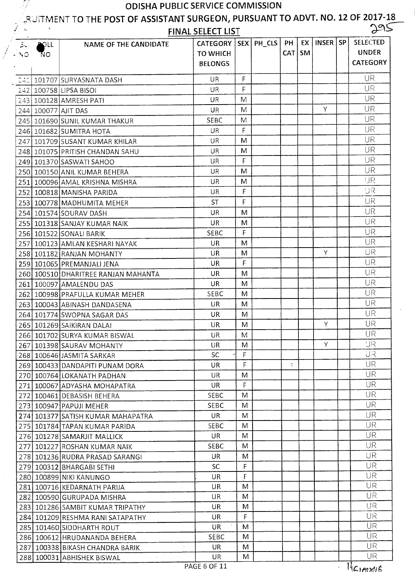# RUITMENT TO THE POST OF ASSISTANT SURGEON, PURSUANT TO ADVT. NO. 12 OF 2017-18

FINAL SELECT LIST

| $\sum_{i=1}^n$ | <b>AOLL</b> | NAME OF THE CANDIDATE                     | CATEGORY   SEX   PH_CLS   PH  <br><b>TO WHICH</b> |   | CAT   SM | EX   INSER   SP | SELECTED<br><b>UNDER</b> |
|----------------|-------------|-------------------------------------------|---------------------------------------------------|---|----------|-----------------|--------------------------|
| NO.            | 'NΟ         |                                           | <b>BELONGS</b>                                    |   |          |                 | <b>CATEGORY</b>          |
| 화소             |             | 101707   SURYASNATA DASH                  | <b>UR</b>                                         | F |          |                 | <b>UR</b>                |
|                |             | 242 100758 LIPSA BISOI                    | <b>UR</b>                                         | F |          |                 | UR                       |
|                |             | 243 100128 AMRESH PATI                    | <b>UR</b>                                         | M |          |                 | <b>UR</b>                |
|                |             | 244 100077 AJIT DAS                       | <b>UR</b>                                         | M |          | Y               | UR                       |
|                |             | 245 101690 SUNIL KUMAR THAKUR             | <b>SEBC</b>                                       | M |          |                 | UR                       |
|                |             | 246 101682 SUMITRA HOTA                   | <b>UR</b>                                         | F |          |                 | <b>UR</b>                |
|                |             | 247 101709 SUSANT KUMAR KHILAR            | UR                                                | M |          |                 | UR                       |
|                |             | 248 101075 PRITISH CHANDAN SAHU           | UR.                                               | M |          |                 | UR                       |
|                |             | 249 101370 SASWATI SAHOO                  | UR                                                | F |          |                 | UR                       |
|                |             | 250 100150 ANIL KUMAR BEHERA              | <b>UR</b>                                         | M |          |                 | UR                       |
|                |             | 251 100096 AMAL KRISHNA MISHRA            | <b>UR</b>                                         | M |          |                 | IJR                      |
|                |             | 252 100818 MANISHA PARIDA                 | UR                                                | F |          |                 | IJR                      |
|                |             | 253 100778 MADHUMITA MEHER                | <b>ST</b>                                         | F |          |                 | UR                       |
|                |             | 254 101574 SOURAV DASH                    | <b>UR</b>                                         | M |          |                 | UR                       |
|                |             | 255 101318 SANJAY KUMAR NAIK              | <b>UR</b>                                         | M |          |                 | UR                       |
|                |             | 256 101522 SONALI BARIK                   | <b>SEBC</b>                                       | F |          |                 | UR                       |
|                |             | 257 100123 AMLAN KESHARI NAYAK            | <b>UR</b>                                         | M |          |                 | UR                       |
|                |             | 258 101182 RANJAN MOHANTY                 | UR                                                | M |          | Y               | ΉR                       |
|                |             | 259 101065 PREMANJALI JENA                | <b>UR</b>                                         | F |          |                 | UR                       |
|                |             | 260 100510 DHARITREE RANJAN MAHANTA       | UR                                                | M |          |                 | UR                       |
|                |             | 261 100097 AMALENDU DAS                   | UR                                                | M |          |                 | UR                       |
|                |             | 262 100998 PRAFULLA KUMAR MEHER           | <b>SEBC</b>                                       | M |          |                 | UR                       |
|                |             | 263 100043 ABINASH DANDASENA              | UR                                                | M |          |                 | <b>UR</b>                |
|                |             | 264 101774 SWOPNA SAGAR DAS               | <b>UR</b>                                         | M |          |                 | <b>UR</b>                |
|                |             | 265 101269 SAIKIRAN DALAI                 | UR                                                | M |          | Y               | <b>UR</b>                |
|                |             | 266 101702 SURYA KUMAR BISWAL             | UR                                                | M |          |                 | <b>UR</b>                |
|                |             | 267 101398 SAURAV MOHANTY                 | UR                                                | M |          | Y.              | <b>UR</b>                |
|                |             | 268 100646 JASMITA SARKAR                 | <b>SC</b>                                         | F |          |                 | UR                       |
|                |             | 269 100433 DANDAPITI PUNAM DORA           | UR                                                | F | 7        |                 | UR                       |
|                |             | 270 100764 LOKANATH PADHAN                | UR.                                               | M |          |                 | UR.                      |
|                |             | 271   100067 ADYASHA MOHAPATRA            | <b>UR</b>                                         | F |          |                 | <b>UR</b>                |
|                |             | 272 100461 DEBASISH BEHERA                | <b>SEBC</b>                                       | M |          |                 | UR                       |
|                |             | 273 100947 PAPUJI MEHER                   | <b>SEBC</b>                                       | M |          |                 | <b>UR</b>                |
|                |             | 274 101377 SATISH KUMAR MAHAPATRA         | <b>UR</b>                                         | M |          |                 | <b>UR</b>                |
|                |             | 275 101784 TAPAN KUMAR PARIDA             | <b>SEBC</b>                                       | M |          |                 | <b>UR</b>                |
|                |             | 276 101278 SAMARJIT MALLICK               | UR                                                | M |          |                 | <b>UR</b>                |
|                |             | 277 101227 ROSHAN KUMAR NAIK              | <b>SEBC</b>                                       | M |          |                 | <b>UR</b>                |
|                |             | 278 101236 RUDRA PRASAD SARANGI           | UR                                                | M |          |                 | UR                       |
|                |             | 279 100312 BHARGABI SETHI                 | SC                                                | F |          |                 | UR                       |
|                |             | 280 100899 NIKI KANUNGO                   | UR.                                               | F |          |                 | UR                       |
|                |             | 281 100716 KEDARNATH PARIJA               | UR                                                | M |          |                 | <b>UR</b>                |
|                |             | 282 100590 GURUPADA MISHRA                | <b>UR</b>                                         | M |          |                 | UR.                      |
|                |             | 283 101286 SAMBIT KUMAR TRIPATHY          | UR                                                | M |          |                 | UR                       |
|                |             | 284 101209 RESHMA RANI SATAPATHY          | UR                                                | F |          |                 | <b>UR</b>                |
|                |             | 285 101460 SIDDHARTH ROUT                 | <b>UR</b>                                         | M |          |                 | <b>UR</b>                |
|                |             | 286 100612 HRUDANANDA BEHERA              | <b>SEBC</b>                                       | M |          |                 | UR                       |
|                |             | $\sim$<br>287 100338 BIKASH CHANDRA BARIK | <b>UR</b>                                         | M |          |                 | <b>UR</b>                |
|                |             | 288 100031 ABHISHEK BISWAL                | UR                                                | M |          |                 | <b>UR</b>                |
|                |             |                                           | PAGE 6 OF 11                                      |   |          |                 | Maimmin                  |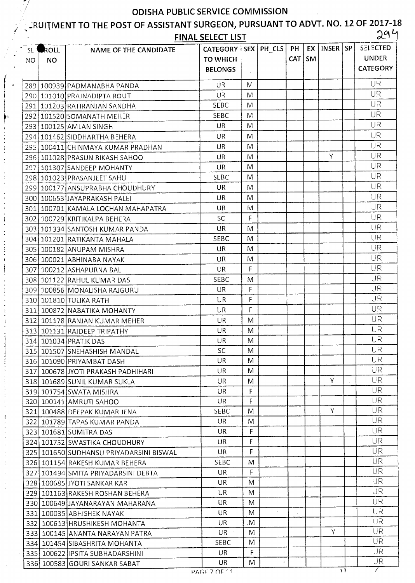# E.<br>ERUITMENT TO THE POST OF ASSISTANT SURGEON, PURSUANT TO ADVT. NO. 12 OF 2017-18

|      |      |                                                                | <b>FINAL SELECT LIST</b> |    |               |     |           |          | d               |
|------|------|----------------------------------------------------------------|--------------------------|----|---------------|-----|-----------|----------|-----------------|
| SL.  | ROLL | NAME OF THE CANDIDATE                                          | CATEGORY   SEX   PH_CLS  |    |               | PH  | EX I      | INSER SP | <b>SELECTED</b> |
| NO.  | NO.  |                                                                | <b>TO WHICH</b>          |    |               | CAT | <b>SM</b> |          | <b>UNDER</b>    |
|      |      |                                                                | <b>BELONGS</b>           |    |               |     |           |          | <b>CATEGORY</b> |
|      |      |                                                                | ÜR.                      | M  |               |     |           |          | UR              |
|      |      | 289   100939   PADMANABHA PANDA<br>290 101010 PRAJNADIPTA ROUT | <b>UR</b>                | M  |               |     |           |          | UR              |
|      |      | 291 101203 RATIRANJAN SANDHA                                   | <b>SEBC</b>              | M  |               |     |           |          | UR              |
|      |      | 292 101520 SOMANATH MEHER                                      | <b>SEBC</b>              | M  |               |     |           |          | UR              |
|      |      | 293 100125 AMLAN SINGH                                         | UR.                      | M  |               |     |           |          | UR              |
|      |      | 294 101462 SIDDHARTHA BEHERA                                   | <b>UR</b>                | M  |               |     |           |          | UR              |
| 295  |      | 100411 CHINMAYA KUMAR PRADHAN                                  | <b>UR</b>                | M  |               |     |           |          | UR              |
|      |      | 296 101028 PRASUN BIKASH SAHOO                                 | UR.                      | M  |               |     |           | Y        | UR              |
| 2971 |      | 101307 SANDEEP MOHANTY                                         | <b>UR</b>                | M  |               |     |           |          | UR              |
|      |      | 298 101023 PRASANJEET SAHU                                     | <b>SEBC</b>              | M  |               |     |           |          | UR              |
|      |      | 299 100177 ANSUPRABHA CHOUDHURY                                | <b>UR</b>                | M  |               |     |           |          | UR              |
|      |      | 300 100653 JAYAPRAKASH PALEI                                   | UR.                      | M  |               |     |           |          | UR              |
|      |      | 301   100701 KAMALA LOCHAN MAHAPATRA                           | <b>UR</b>                | M  |               |     |           |          | JR.             |
|      |      | 302   100729   KRITIKALPA BEHERA                               | <b>SC</b>                | F  |               |     |           |          | UR              |
|      |      | 303 101334 SANTOSH KUMAR PANDA                                 | <b>UR</b>                | M  |               |     |           |          | UR              |
|      |      | 304 101201 RATIKANTA MAHALA                                    | <b>SEBC</b>              | M  |               |     |           |          | UR              |
|      |      | 305   100182 ANUPAM MISHRA                                     | UR.                      | M  |               |     |           |          | <b>UR</b>       |
|      |      | 306   100021   ABHINABA NAYAK                                  | <b>UR</b>                | M  |               |     |           |          | UR              |
|      |      | 307 100212 ASHAPURNA BAL                                       | UR.                      | F  |               |     |           |          | UR              |
|      |      | 308 101122 RAHUL KUMAR DAS                                     | <b>SEBC</b>              | M  |               |     |           |          | UR              |
|      |      | 309 100856 MONALISHA RAJGURU                                   | <b>UR</b>                | F  |               |     |           |          | UR              |
|      |      | 310 101810 TULIKA RATH                                         | <b>UR</b>                | F  | $\mathcal{L}$ |     |           |          | UR              |
| 311  |      | 100872 NABATIKA MOHANTY                                        | <b>UR</b>                | F  |               |     |           |          | UR              |
| 312  |      | 101178 RANJAN KUMAR MEHER                                      | <b>UR</b>                | M  |               |     |           |          | UR              |
|      |      | 313 101131 RAJDEEP TRIPATHY                                    | <b>UR</b>                | M  |               |     |           |          | UR              |
|      |      | 314 101034 PRATIK DAS                                          | UR.                      | M  |               |     |           |          | UR              |
|      |      | 315 101507 SNEHASHISH MANDAL                                   | <b>SC</b>                | M  |               |     |           |          | UR              |
|      |      | 316 101090 PRIYAMBAT DASH                                      | <b>UR</b>                | M  |               |     |           |          | UR              |
|      |      | 317 100678 JYOTI PRAKASH PADHIHARI                             | <b>UR</b>                | M  |               |     |           |          | UR.             |
|      |      | 318 101689 SUNIL KUMAR SUKLA                                   | UR.                      | M  |               |     |           | Y        | <b>UR</b>       |
|      |      | 319 101754 SWATA MISHRA                                        | <b>UR</b>                | F  |               |     |           |          | UR.             |
|      |      | 320 100141 AMRUTI SAHOO                                        | UR                       | F  |               |     |           |          | <b>UR</b>       |
|      |      | 321 100488 DEEPAK KUMAR JENA                                   | <b>SEBC</b>              | M  |               |     |           | Y        | UR              |
|      |      | 322 101789 TAPAS KUMAR PANDA                                   | <b>UR</b>                | M  |               |     |           |          | <b>UR</b>       |
|      |      | 323 101681 SUMITRA DAS                                         | UR.                      | F  |               |     |           |          | UR.             |
|      |      | 324 101752 SWASTIKA CHOUDHURY                                  | UR.                      | F  |               |     |           |          | UR              |
|      |      | 325 101650 SUDHANSU PRIYADARSINI BISWAL                        | UR.                      | F  |               |     |           |          | <b>UR</b>       |
|      |      | 326 101154 RAKESH KUMAR BEHERA                                 | <b>SEBC</b>              | M  |               |     |           |          | <b>UR</b>       |
|      |      | 327 101494 SMITA PRIYADARSINI DEBTA                            | UR.                      | F  |               |     |           |          | <b>UR</b>       |
|      |      | 328 100685 JYOTI SANKAR KAR                                    | UR.                      | M  |               |     |           |          | IJR             |
|      |      | 329 101163 RAKESH ROSHAN BEHERA                                | UR.                      | M  |               |     |           |          | IJR             |
|      |      | 330 100649 JAYANARAYAN MAHARANA                                | UR.                      | M  |               |     |           |          | UR              |
|      |      | 331 100035 ABHISHEK NAYAK                                      | UR.                      | M  | $\epsilon$    |     |           |          | <b>UR</b>       |
|      |      | 332 100613 HRUSHIKESH MOHANTA                                  | UR.                      | .M |               |     |           |          | UR.             |
|      |      | 333 100145 ANANTA NARAYAN PATRA                                | <b>UR</b>                | M  |               |     |           | Y        | UR              |
|      |      | 334 101454 SIBASHRITA MOHANTA                                  | <b>SEBC</b>              | M  |               |     |           |          | UR.             |
|      |      | 335 100622 IPSITA SUBHADARSHINI                                | <b>UR</b>                | F. |               |     |           |          | UR.             |
|      |      | 336 100583 GOURI SANKAR SABAT                                  | UR.                      | M  | ۰             |     |           |          | UR              |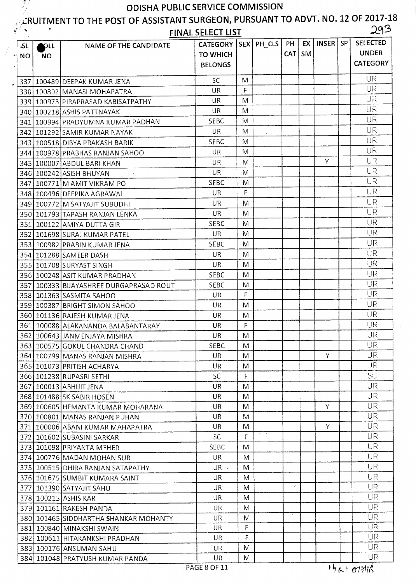$\mathbb{Z}/2$ 

# **ic:RUITMENT TO THE POST OF ASSISTANT SURGEON, PURSUANT TO ADVT. NO. 12 OF 2017-18 FINAL SELECT LIST** 3

|           | FINAL SELECT LIST<br>$\sim$ 1 $-$ |                                         |                         |   |    |            |          |          |  |                 |
|-----------|-----------------------------------|-----------------------------------------|-------------------------|---|----|------------|----------|----------|--|-----------------|
| .SL       | <b>POLL</b>                       | NAME OF THE CANDIDATE                   | CATEGORY   SEX   PH_CLS |   |    | PH         | EX       | INSER SP |  | <b>SELECTED</b> |
| <b>NO</b> | <b>NO</b>                         |                                         | <b>TO WHICH</b>         |   |    |            | $CAT$ SM |          |  | <b>UNDER</b>    |
|           |                                   |                                         | <b>BELONGS</b>          |   |    |            |          |          |  | <b>CATEGORY</b> |
|           |                                   |                                         |                         |   |    |            |          |          |  |                 |
|           |                                   | 337   100489   DEEPAK KUMAR JENA        | SC                      | M |    |            |          |          |  | UR              |
|           |                                   | 338 100802 MANASI MOHAPATRA             | UR                      | F |    |            |          |          |  | UR              |
|           |                                   | 339 100973 PIRAPRASAD KABISATPATHY      | UR                      | M |    |            |          |          |  | IJR             |
|           |                                   | 340 100218 ASHIS PATTNAYAK              | UR                      | M |    |            |          |          |  | UR              |
|           |                                   | 341   100994   PRADYUMNA KUMAR PADHAN   | SEBC                    | M |    |            |          |          |  | UR              |
|           |                                   | 342   101292   SAMIR KUMAR NAYAK        | <b>UR</b>               | M |    |            |          |          |  | UR              |
|           |                                   | 343 100518 DIBYA PRAKASH BARIK          | <b>SEBC</b>             | M |    |            |          |          |  | UR              |
|           |                                   | 344 100978 PRABHAS RANJAN SAHOO         | UR.                     | M |    |            |          |          |  | UR              |
|           |                                   | 345 100007 ABDUL BARI KHAN              | UR                      | M |    |            |          | Υ        |  | UR              |
|           |                                   | 346 100242 ASISH BHUYAN                 | <b>UR</b>               | M |    |            |          |          |  | UR              |
|           |                                   | 347   100771   MAMIT VIKRAM POI         | <b>SEBC</b>             | M |    |            |          |          |  | UR              |
|           |                                   | 348 100496 DEEPIKA AGRAWAL              | UR                      | F |    |            |          |          |  | <b>UR</b>       |
|           |                                   | 349 100772 M SATYAJIT SUBUDHI           | <b>UR</b>               | M |    |            |          |          |  | <b>UR</b>       |
|           |                                   | 350 101793 TAPASH RANJAN LENKA          | UR                      | M |    |            |          |          |  | UR              |
|           |                                   | 351 100122 AMIYA DUTTA GIRI             | <b>SEBC</b>             | M |    |            |          |          |  | UR              |
|           |                                   | 352   101698 SURAJ KUMAR PATEL          | UR                      | M |    |            |          |          |  | <b>UR</b>       |
|           |                                   | 353 100982 PRABIN KUMAR JENA            | <b>SEBC</b>             | M |    |            |          |          |  | UR              |
|           |                                   | 354 101288 SAMEER DASH                  | UR                      | M |    |            |          |          |  | UR              |
|           |                                   | 355 101708 SURYAST SINGH                | UR                      | M |    |            |          |          |  | UR              |
|           |                                   |                                         | SEBC                    | M |    |            |          |          |  | UR              |
|           |                                   | 356 100248 ASIT KUMAR PRADHAN           | <b>SEBC</b>             | M |    |            |          |          |  | UR              |
|           |                                   | 357 100333 BIJAYASHREE DURGAPRASAD ROUT | UR                      | F |    |            |          |          |  | UR              |
|           |                                   | 358 101363 SASMITA SAHOO                |                         |   |    |            |          |          |  | UR              |
|           |                                   | 359 100387 BRIGHT SIMON SAHOO           | UR                      | M |    |            |          |          |  | UR              |
|           |                                   | 360 101136 RAJESH KUMAR JENA            | UR.                     | M |    |            |          |          |  | UR              |
|           |                                   | 361 100088 ALAKANANDA BALABANTARAY      | UR                      | F |    |            |          |          |  | UR              |
|           |                                   | 362 100643 JANMENJAYA MISHRA            | UR                      | M |    |            |          |          |  | UR              |
|           |                                   | 363 100575 GOKUL CHANDRA CHAND          | SEBC                    | M |    |            |          |          |  | <b>UR</b>       |
|           |                                   | 364 100799 MANAS RANJAN MISHRA          | UR.                     | M |    |            |          | Y        |  |                 |
|           |                                   | 365 101073 PRITISH ACHARYA              | UR.                     | M |    |            |          |          |  | IJR             |
|           |                                   | 366 101238 RUPASRI SETHI                | <b>SC</b>               | F |    |            |          |          |  | SC              |
|           |                                   | 367 100013 ABHIJIT JENA                 | <b>UR</b>               | M |    |            |          |          |  | <b>UR</b>       |
|           |                                   | 368 101488 SK SABIR HOSEN               | UR                      | M |    |            |          |          |  | <b>UR</b>       |
|           |                                   | 369 100605 HEMANTA KUMAR MOHARANA       | UR                      | M |    |            |          | Y        |  | <b>UR</b>       |
|           |                                   | 370 100801 MANAS RANJAN PUHAN           | UR                      | M |    |            |          |          |  | UR              |
|           |                                   | 371 100006 ABANI KUMAR MAHAPATRA        | UR                      | M | A. |            |          | Y        |  | <b>UR</b>       |
|           |                                   | 372 101602 SUBASINI SARKAR              | <b>SC</b>               | F |    |            |          |          |  | UR              |
|           |                                   | 373 101098 PRIYANTA MEHER               | <b>SEBC</b>             | M |    |            |          |          |  | UR              |
|           |                                   | 374 100776 MADAN MOHAN SUR              | UR                      | M |    |            |          |          |  | UR              |
|           |                                   | 375 100515 DHIRA RANJAN SATAPATHY       | UR .                    | M |    |            |          |          |  | <b>UR</b>       |
|           |                                   | 376 101675 SUMBIT KUMARA SAINT          | UR.                     | M |    |            |          |          |  | UR              |
|           |                                   | 377   101390   SATYAJIT SAHU            | UR                      | M |    | $\epsilon$ |          |          |  | <b>UR</b>       |
|           |                                   | 378 100215 ASHIS KAR                    | UR.                     | M |    |            |          |          |  | UR.             |
|           |                                   | 379 101161 RAKESH PANDA                 | UR                      | M |    |            |          |          |  | <b>UR</b>       |
|           |                                   | 380 101465 SIDDHARTHA SHANKAR MOHANTY   | UR                      | M |    |            |          |          |  | <b>UR</b>       |
|           |                                   | 381 100840 MINAKSHI SWAIN               | UR                      | F |    |            |          |          |  | UR              |
|           |                                   | 382 100611 HITAKANKSHI PRADHAN          | UR                      | F |    |            |          |          |  | <b>UR</b>       |
|           |                                   | 383 100176 ANSUMAN SAHU                 | UR                      | M |    |            |          |          |  | <b>UR</b>       |
|           |                                   | 384 101048 PRATYUSH KUMAR PANDA         | <b>UR</b>               | M |    |            |          |          |  | UR.             |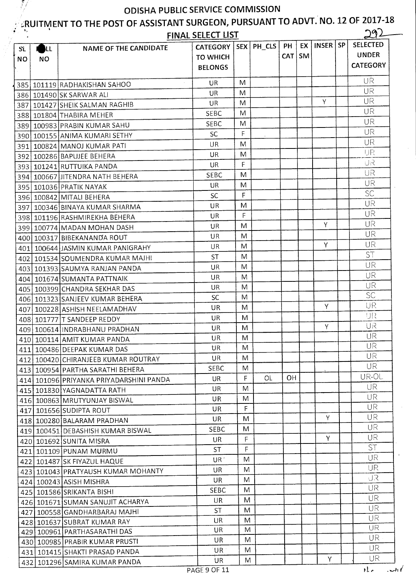# $\mathbb{Z}_{\bm{\mathcal{R}}}$ UITMENT TO THE POST OF ASSISTANT SURGEON, PURSUANT TO ADVT. NO. 12 OF 2017-18

| Я.<br>- 77 |            |                                                                     | <b>FINAL SELECT LIST</b> |   |              |            |           |              |           | 292             |  |
|------------|------------|---------------------------------------------------------------------|--------------------------|---|--------------|------------|-----------|--------------|-----------|-----------------|--|
| SL.        | <b>ALL</b> | <b>NAME OF THE CANDIDATE</b>                                        | <b>CATEGORY</b>          |   | SEX   PH_CLS | PH         | EX 1      | <b>INSER</b> | <b>SP</b> | <b>SELECTED</b> |  |
| <b>NO</b>  | <b>NO</b>  |                                                                     | <b>TO WHICH</b>          |   |              | <b>CAT</b> | <b>SM</b> |              |           | <b>UNDER</b>    |  |
|            |            |                                                                     | <b>BELONGS</b>           |   |              |            |           |              |           | <b>CATEGORY</b> |  |
|            |            |                                                                     | UR                       | M |              |            |           |              |           | UR              |  |
|            |            | 385 101119 RADHAKISHAN SAHOO                                        | UR                       | M |              |            |           |              |           | UR              |  |
|            |            | 386 101490 SK SARWAR ALI                                            | UR                       | M |              |            |           | Y            |           | <b>UR</b>       |  |
|            |            | 387   101427   SHEIK SALMAN RAGHIB                                  | <b>SEBC</b>              | M |              |            |           |              |           | UR              |  |
|            |            | 388 101804 THABIRA MEHER                                            | <b>SEBC</b>              | M |              |            |           |              |           | UR              |  |
|            |            | 389 100983 PRABIN KUMAR SAHU                                        | <b>SC</b>                | F |              |            |           |              |           | UR              |  |
|            |            | 390 100155 ANIMA KUMARI SETHY                                       | UR                       | M |              |            |           |              |           | UR              |  |
|            |            | 391   100824   MANOJ KUMAR PATI                                     | <b>UR</b>                | M |              |            |           |              |           | IJR             |  |
|            |            | 392   100286   BAPUJEE BEHERA                                       | UR.                      | F |              |            |           |              |           | UR              |  |
|            |            | 393 101241 RUTTUIKA PANDA                                           | <b>SEBC</b>              | M |              |            |           |              |           | UR              |  |
|            |            | 394   100667 JITENDRA NATH BEHERA                                   | UR                       | M |              |            |           |              |           | UR              |  |
|            |            | 395 101036 PRATIK NAYAK                                             | SC                       | F |              |            |           |              |           | SC              |  |
|            |            | 396 100842 MITALI BEHERA                                            | <b>UR</b>                | M |              |            |           |              |           | UR              |  |
|            |            | 397 100346 BINAYA KUMAR SHARMA                                      | UR                       | F |              |            |           |              |           | UR              |  |
|            |            | 398 101196 RASHMIREKHA BEHERA                                       | UR.                      | M |              |            |           | Y            |           | <b>UR</b>       |  |
|            |            | 399 100774 MADAN MOHAN DASH                                         | UR                       | M |              |            |           |              |           | UR              |  |
|            |            | 400   100317   BIBEKANANDA ROUT                                     | UR                       | M |              |            |           | Y            |           | UR              |  |
|            |            | 401 100644 JASMIN KUMAR PANIGRAHY                                   | <b>ST</b>                | M |              |            |           |              |           | <b>ST</b>       |  |
|            |            | 402   101534 SOUMENDRA KUMAR MAJHI                                  |                          | M |              |            |           |              |           | UR              |  |
|            |            | 403   101393   SAUMYA RANJAN PANDA                                  | UR<br>UR                 | M |              |            |           |              |           | UR              |  |
|            |            | 404   101674 SUMANTA PATTNAIK                                       | UR                       | M |              |            |           |              |           | UR              |  |
|            |            | 405   100399 CHANDRA SEKHAR DAS                                     | SC                       | M |              |            |           |              |           | <b>SC</b>       |  |
|            |            | 406 101323 SANJEEV KUMAR BEHERA                                     | UR                       | M |              |            |           | Y            |           | UR              |  |
| 407        |            | 100228 ASHISH NEELAMADHAV                                           | UR                       | M |              |            |           |              |           | UR              |  |
|            |            | 408 101777 T SANDEEP REDDY                                          | UR                       | M |              |            |           | Y            |           | UR              |  |
|            |            | 409 100614 INDRABHANU PRADHAN                                       | UR                       | M |              |            |           |              |           | UR              |  |
|            |            | 410 100114 AMIT KUMAR PANDA                                         | UR                       | M |              |            |           |              |           | <b>UR</b>       |  |
|            |            | 411   100486   DEEPAK KUMAR DAS                                     | UR                       | M |              |            |           |              |           | <b>UR</b>       |  |
|            |            | 412 100420 CHIRANJEEB KUMAR ROUTRAY                                 | <b>SEBC</b>              | M |              |            |           |              |           | UR.             |  |
|            |            | 413 100954 PARTHA SARATHI BEHERA                                    | <b>UR</b>                | F | OL           | OH         |           |              |           | UR-OL           |  |
|            |            | 414 101096 PRIYANKA PRIYADARSHINI PANDA                             | <b>UR</b>                | M |              |            |           |              |           | UR              |  |
|            |            | 415 101830 YAGNADATTA RATH                                          | <b>UR</b>                | M |              |            |           |              |           | <b>UR</b>       |  |
|            |            | 416   100863   MRUTYUNJAY BISWAL                                    | UR                       | F |              |            |           |              |           | UR.             |  |
|            |            | 417 101656 SUDIPTA ROUT<br>418 100280 BALARAM PRADHAN               | UR.                      | M |              |            |           | Y            |           | UR              |  |
|            |            | 419 100451 DEBASHISH KUMAR BISWAL                                   | <b>SEBC</b>              | M |              |            |           |              |           | UR.             |  |
|            |            |                                                                     | <b>UR</b>                | F |              |            |           | Y            |           | UR.             |  |
|            |            | 420 101692 SUNITA MISRA<br>421 101109 PUNAM MURMU                   | <b>ST</b>                | F |              |            |           |              |           | ST.             |  |
|            |            |                                                                     | UR <sup>-</sup>          | M |              |            |           |              |           | <b>UR</b>       |  |
|            |            | 422   101487 SK FIYAZUL HAQUE<br>423 101043 PRATYAUSH KUMAR MOHANTY | UR                       | M |              |            |           |              |           | <b>UR</b>       |  |
|            |            |                                                                     | UR                       | M |              |            |           |              |           | UR.             |  |
|            |            | 424   100243   ASISH MISHRA                                         | <b>SEBC</b>              | M |              |            |           |              |           | UR.             |  |
|            |            | 425 101586 SRIKANTA BISHI<br>426 101671 SUMAN SANUJIT ACHARYA       | UR.                      | M |              |            |           |              |           | <b>UR</b>       |  |
|            |            | 427 100558 GANDHARBARAJ MAJHI                                       | <b>ST</b>                | M |              |            |           |              |           | UR              |  |
|            |            | 428 101637 SUBRAT KUMAR RAY                                         | <b>UR</b>                | M |              |            |           |              |           | UR              |  |
|            |            | 429 100961 PARTHASARATHI DAS                                        | UR.                      | M | $\lambda$    |            |           |              |           | <b>UR</b>       |  |
|            |            | 430 100985 PRABIR KUMAR PRUSTI                                      | UR                       | M |              |            |           |              |           | UR.             |  |
|            |            | 431   101415   SHAKTI PRASAD PANDA                                  | UR                       | M |              |            |           |              |           | UR              |  |
|            |            | 432 101296 SAMIRA KUMAR PANDA                                       | UR                       | M |              |            |           | Υ            |           | UR              |  |
|            |            |                                                                     |                          |   |              |            |           |              |           |                 |  |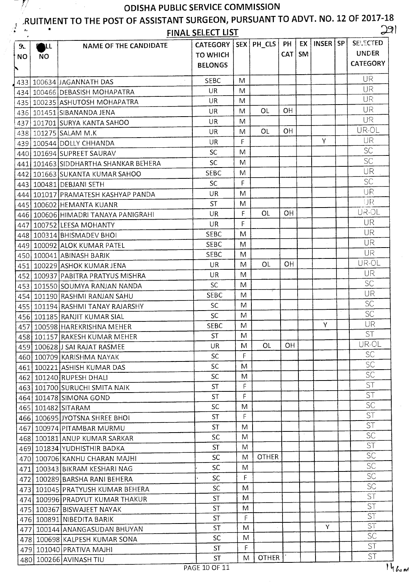IJ

#### **,RUITMENT TO THE POST OF ASSISTANT SURGEON, PURSUANT TO ADVT. NO. 12 OF 2017-18 ,. •**

|  |  |  |  |  |  |  | <b>FINAL SELECT LIST</b> |  |
|--|--|--|--|--|--|--|--------------------------|--|
|  |  |  |  |  |  |  |                          |  |

| 9 <sub>r</sub> | <b>POLL</b> | <b>NAME OF THE CANDIDATE</b>                                   | <b>CATEGORY</b>                   |              | SEX   PH_CLS | PH<br>CAT   SM | EX      | INSER SP | <b>SELECTED</b><br><b>UNDER</b> |
|----------------|-------------|----------------------------------------------------------------|-----------------------------------|--------------|--------------|----------------|---------|----------|---------------------------------|
| <b>NO</b>      | <b>NO</b>   |                                                                | <b>TO WHICH</b><br><b>BELONGS</b> |              |              |                |         |          | <b>CATEGORY</b>                 |
|                |             | 433 100634 JAGANNATH DAS                                       | <b>SEBC</b>                       | M            |              |                |         |          | UR                              |
|                |             | 434 100466 DEBASISH MOHAPATRA                                  | UR                                | M            |              |                |         |          | <b>UR</b>                       |
|                |             | 435 100235 ASHUTOSH MOHAPATRA                                  | UR                                | M            |              |                |         |          | <b>UR</b>                       |
|                |             | 436 101451 SIBANANDA JENA                                      | UR                                | M            | <b>OL</b>    | <b>OH</b>      |         |          | UR                              |
|                |             | 437 101701 SURYA KANTA SAHOO                                   | UR.                               | M            |              |                |         |          | <b>UR</b>                       |
|                |             | 438 101275 SALAM M.K                                           | <b>UR</b>                         | M            | <b>OL</b>    | <b>OH</b>      |         |          | UR-OL                           |
|                |             | 439 100544 DOLLY CHHANDA                                       | <b>UR</b>                         | F            |              |                |         | Y        | UR                              |
|                |             | 440 101694 SUPREET SAURAV                                      | <b>SC</b>                         | M            |              |                |         |          | <b>SC</b>                       |
|                |             | 441   101463   SIDDHARTHA SHANKAR BEHERA                       | SC                                | M            |              |                |         |          | <b>SC</b>                       |
|                |             | 442 101663 SUKANTA KUMAR SAHOO                                 | <b>SEBC</b>                       | M            |              |                |         |          | <b>UR</b>                       |
|                |             | 443 100481 DEBJANI SETH                                        | <b>SC</b>                         | F            |              |                |         |          | <b>SC</b>                       |
|                |             | 444 101017 PRAMATESH KASHYAP PANDA                             | <b>UR</b>                         | M            |              |                |         |          | UR                              |
|                |             | 445 100602 HEMANTA KUANR                                       | <b>ST</b>                         | M            |              |                |         |          | IJR                             |
|                |             | 446 100606 HIMADRI TANAYA PANIGRAHI                            | UR                                | F            | <b>OL</b>    | OH             |         |          | UR-OL                           |
|                |             |                                                                | <b>UR</b>                         | F            |              |                |         |          | UR                              |
|                |             | 447 100752 LEESA MOHANTY                                       | <b>SEBC</b>                       | M            |              |                |         |          | UR                              |
|                |             | 448 100314 BHISMADEV BHOI                                      | <b>SEBC</b>                       | M            |              |                |         |          | <b>UR</b>                       |
|                |             | 449 100092 ALOK KUMAR PATEL                                    | <b>SEBC</b>                       | M            |              |                |         |          | <b>UR</b>                       |
|                |             | 450 100041 ABINASH BARIK<br>451 100229 ASHOK KUMAR JENA        | UR.                               | M            | OL           | 0H             |         |          | UR-OL                           |
|                |             |                                                                | UR                                | M            |              |                |         |          | UR.                             |
|                |             | 452 100937 PABITRA PRATYUS MISHRA                              | <b>SC</b>                         | M            |              |                |         |          | <b>SC</b>                       |
|                |             | 453 101550 SOUMYA RANJAN NANDA                                 | <b>SEBC</b>                       | M            |              |                |         |          | UR                              |
|                |             | 454 101190 RASHMI RANJAN SAHU                                  | <b>SC</b>                         | M            |              |                |         |          | <b>SC</b>                       |
|                |             | 455   101194 RASHMI TANAY RAJARSHY                             | SC                                | M            |              |                |         |          | <b>SC</b>                       |
|                |             | 456 101185 RANJIT KUMAR SIAL                                   | <b>SEBC</b>                       | M            |              |                |         | Y        | UR                              |
|                |             | 457   100598 HAREKRISHNA MEHER                                 | <b>ST</b>                         | M            |              |                |         |          | <b>ST</b>                       |
|                |             | 458 101157 RAKESH KUMAR MEHER                                  | UR                                | M            | <b>OL</b>    | <b>OH</b>      |         |          | UR-OL                           |
|                |             | 459 100628 J SAI RAJAT RASMEE                                  | <b>SC</b>                         | F            |              |                |         |          | <b>SC</b>                       |
|                |             | 460   100709 KARISHMA NAYAK                                    | SC.                               | M            |              |                |         |          | <b>SC</b>                       |
|                |             | 461 100221 ASHISH KUMAR DAS                                    | <b>SC</b>                         | M            |              |                |         |          | <b>SC</b>                       |
|                |             | 462 101240 RUPESH DHALI                                        | <b>ST</b>                         | F            |              |                |         |          | <b>ST</b>                       |
|                |             | 463 101700 SURUCHI SMITA NAIK                                  | <b>ST</b>                         | F            |              |                |         |          | <b>ST</b>                       |
|                |             | 464 101478 SIMONA GOND                                         | <b>SC</b>                         | M            |              |                |         |          | <b>SC</b>                       |
|                |             | 465 101482 SITARAM<br>466 100695 JYOTSNA SHREE BHOL            | <b>ST</b>                         | $\mathsf{F}$ |              |                |         |          | <b>ST</b>                       |
|                |             | 467 100974 PITAMBAR MURMU                                      | <b>ST</b>                         | M            |              |                |         |          | <b>ST</b>                       |
|                |             | 468 100181 ANUP KUMAR SARKAR                                   | SC                                | M            |              |                | $\cdot$ |          | <b>SC</b>                       |
|                |             |                                                                | <b>ST</b>                         | M            |              |                |         |          | <b>ST</b>                       |
|                |             | 469 101834 YUDHISTHIR BADKA                                    | <b>SC</b>                         | M            | <b>OTHER</b> |                |         |          | <b>SC</b>                       |
|                |             | 470   100706 KANHU CHARAN MAJHI                                | <b>SC</b>                         | M            |              |                |         |          | <b>SC</b>                       |
|                |             | 471 100343 BIKRAM KESHARI NAG                                  | <b>SC</b>                         | F            |              |                |         |          | <b>SC</b>                       |
|                |             | 472 100289 BARSHA RANI BEHERA                                  | <b>SC</b>                         | M            |              |                |         |          | <b>SC</b>                       |
|                |             | 473 101045 PRATYUSH KUMAR BEHERA                               | <b>ST</b>                         | M            |              |                |         |          | <b>ST</b>                       |
|                |             | 474 100996 PRADYUT KUMAR THAKUR                                | ST.                               | M            |              |                |         |          | <b>ST</b>                       |
|                |             | 475 100367 BISWAJEET NAYAK                                     | <b>ST</b>                         | F.           |              |                |         |          | <b>ST</b>                       |
|                |             | 476 100891 NIBEDITA BARIK                                      | <b>ST</b>                         | M            |              |                |         | Y        | ST <sup>-</sup>                 |
|                |             | 477 100144 ANANGASUDAN BHUYAN<br>478 100698 KALPESH KUMAR SONA | <b>SC</b>                         | M            |              |                |         |          | <b>SC</b>                       |
|                |             | 479 101040 PRATIVA MAJHI                                       | <b>ST</b>                         | $\mathsf F$  |              |                |         |          | <b>ST</b>                       |
|                |             | 480 100266 AVINASH TIU                                         | <b>ST</b>                         | M            | <b>OTHER</b> |                |         |          | <b>ST</b>                       |
|                |             |                                                                |                                   |              |              |                |         |          |                                 |